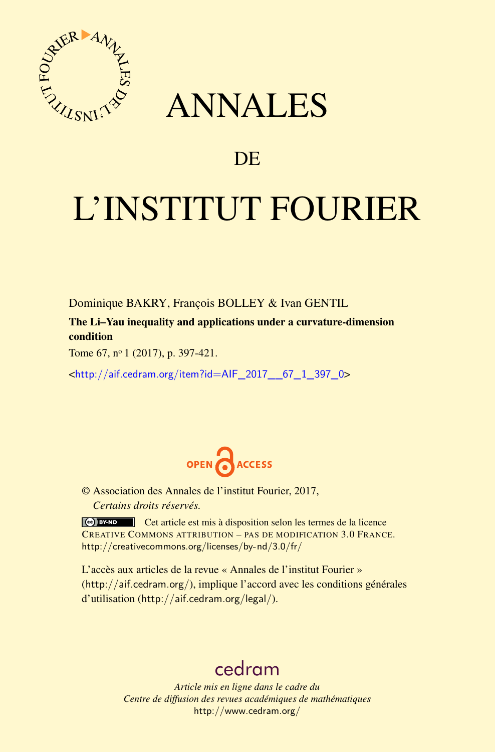

# ANNALES

# **DE**

# L'INSTITUT FOURIER

Dominique BAKRY, François BOLLEY & Ivan GENTIL

The Li–Yau inequality and applications under a curvature-dimension condition

Tome 67, nº 1 (2017), p. 397-421.

<[http://aif.cedram.org/item?id=AIF\\_2017\\_\\_67\\_1\\_397\\_0](http://aif.cedram.org/item?id=AIF_2017__67_1_397_0)>



© Association des Annales de l'institut Fourier, 2017, *Certains droits réservés.*

Cet article est mis à disposition selon les termes de la licence CREATIVE COMMONS ATTRIBUTION – PAS DE MODIFICATION 3.0 FRANCE. <http://creativecommons.org/licenses/by-nd/3.0/fr/>

L'accès aux articles de la revue « Annales de l'institut Fourier » (<http://aif.cedram.org/>), implique l'accord avec les conditions générales d'utilisation (<http://aif.cedram.org/legal/>).

# [cedram](http://www.cedram.org/)

*Article mis en ligne dans le cadre du Centre de diffusion des revues académiques de mathématiques* <http://www.cedram.org/>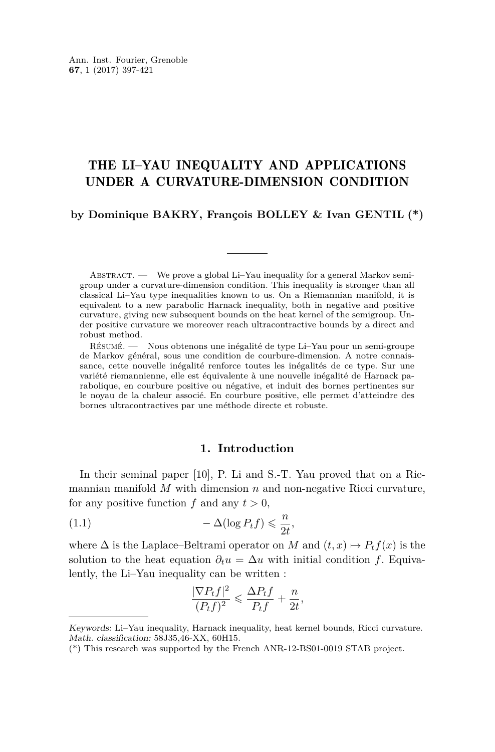# THE LI–YAU INEQUALITY AND APPLICATIONS UNDER A CURVATURE-DIMENSION CONDITION

# **by Dominique BAKRY, François BOLLEY & Ivan GENTIL (\*)**

ABSTRACT. — We prove a global Li–Yau inequality for a general Markov semigroup under a curvature-dimension condition. This inequality is stronger than all classical Li–Yau type inequalities known to us. On a Riemannian manifold, it is equivalent to a new parabolic Harnack inequality, both in negative and positive curvature, giving new subsequent bounds on the heat kernel of the semigroup. Under positive curvature we moreover reach ultracontractive bounds by a direct and robust method.

Résumé. — Nous obtenons une inégalité de type Li–Yau pour un semi-groupe de Markov général, sous une condition de courbure-dimension. A notre connaissance, cette nouvelle inégalité renforce toutes les inégalités de ce type. Sur une variété riemannienne, elle est équivalente à une nouvelle inégalité de Harnack parabolique, en courbure positive ou négative, et induit des bornes pertinentes sur le noyau de la chaleur associé. En courbure positive, elle permet d'atteindre des bornes ultracontractives par une méthode directe et robuste.

# <span id="page-1-0"></span>**1. Introduction**

In their seminal paper [\[10\]](#page-25-0), P. Li and S.-T. Yau proved that on a Riemannian manifold *M* with dimension *n* and non-negative Ricci curvature, for any positive function  $f$  and any  $t > 0$ ,

(1.1) 
$$
-\Delta(\log P_t f) \leq \frac{n}{2t},
$$

where  $\Delta$  is the Laplace–Beltrami operator on *M* and  $(t, x) \mapsto P_t f(x)$  is the solution to the heat equation  $\partial_t u = \Delta u$  with initial condition *f*. Equivalently, the Li–Yau inequality can be written :

$$
\frac{|\nabla P_t f|^2}{(P_t f)^2} \leq \frac{\Delta P_t f}{P_t f} + \frac{n}{2t},
$$

Keywords: Li–Yau inequality, Harnack inequality, heat kernel bounds, Ricci curvature. Math. classification: 58J35,46-XX, 60H15.

<sup>(\*)</sup> This research was supported by the French ANR-12-BS01-0019 STAB project.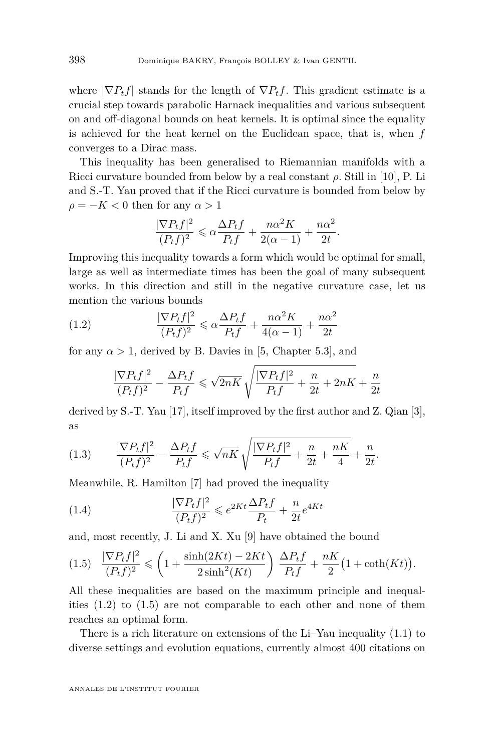where  $|\nabla P_t f|$  stands for the length of  $\nabla P_t f$ . This gradient estimate is a crucial step towards parabolic Harnack inequalities and various subsequent on and off-diagonal bounds on heat kernels. It is optimal since the equality is achieved for the heat kernel on the Euclidean space, that is, when *f* converges to a Dirac mass.

This inequality has been generalised to Riemannian manifolds with a Ricci curvature bounded from below by a real constant *ρ*. Still in [\[10\]](#page-25-0), P. Li and S.-T. Yau proved that if the Ricci curvature is bounded from below by  $\rho = -K < 0$  then for any  $\alpha > 1$ 

$$
\frac{|\nabla P_t f|^2}{(P_t f)^2} \leq \alpha \frac{\Delta P_t f}{P_t f} + \frac{n \alpha^2 K}{2(\alpha - 1)} + \frac{n \alpha^2}{2t}.
$$

Improving this inequality towards a form which would be optimal for small, large as well as intermediate times has been the goal of many subsequent works. In this direction and still in the negative curvature case, let us mention the various bounds

(1.2) 
$$
\frac{|\nabla P_t f|^2}{(P_t f)^2} \leq \alpha \frac{\Delta P_t f}{P_t f} + \frac{n \alpha^2 K}{4(\alpha - 1)} + \frac{n \alpha^2}{2t}
$$

for any  $\alpha > 1$ , derived by B. Davies in [\[5,](#page-24-0) Chapter 5.3], and

<span id="page-2-0"></span>
$$
\frac{|\nabla P_t f|^2}{(P_t f)^2} - \frac{\Delta P_t f}{P_t f} \leqslant \sqrt{2nK} \sqrt{\frac{|\nabla P_t f|^2}{P_t f} + \frac{n}{2t} + 2nK} + \frac{n}{2t}
$$

derived by S.-T. Yau [\[17\]](#page-25-1), itself improved by the first author and Z. Qian [\[3\]](#page-24-1), as

<span id="page-2-2"></span>(1.3) 
$$
\frac{|\nabla P_t f|^2}{(P_t f)^2} - \frac{\Delta P_t f}{P_t f} \le \sqrt{nK} \sqrt{\frac{|\nabla P_t f|^2}{P_t f} + \frac{n}{2t} + \frac{nK}{4}} + \frac{n}{2t}.
$$

Meanwhile, R. Hamilton [\[7\]](#page-25-2) had proved the inequality

<span id="page-2-3"></span>(1.4) 
$$
\frac{|\nabla P_t f|^2}{(P_t f)^2} \leq e^{2Kt} \frac{\Delta P_t f}{P_t} + \frac{n}{2t} e^{4Kt}
$$

and, most recently, J. Li and X. Xu [\[9\]](#page-25-3) have obtained the bound

<span id="page-2-1"></span>
$$
(1.5)\quad \frac{|\nabla P_t f|^2}{(P_t f)^2} \leqslant \left(1 + \frac{\sinh(2Kt) - 2Kt}{2\sinh^2(Kt)}\right)\frac{\Delta P_t f}{P_t f} + \frac{nK}{2}\left(1 + \coth(Kt)\right).
$$

All these inequalities are based on the maximum principle and inequalities  $(1.2)$  to  $(1.5)$  are not comparable to each other and none of them reaches an optimal form.

There is a rich literature on extensions of the Li–Yau inequality [\(1.1\)](#page-1-0) to diverse settings and evolution equations, currently almost 400 citations on

ANNALES DE L'INSTITUT FOURIER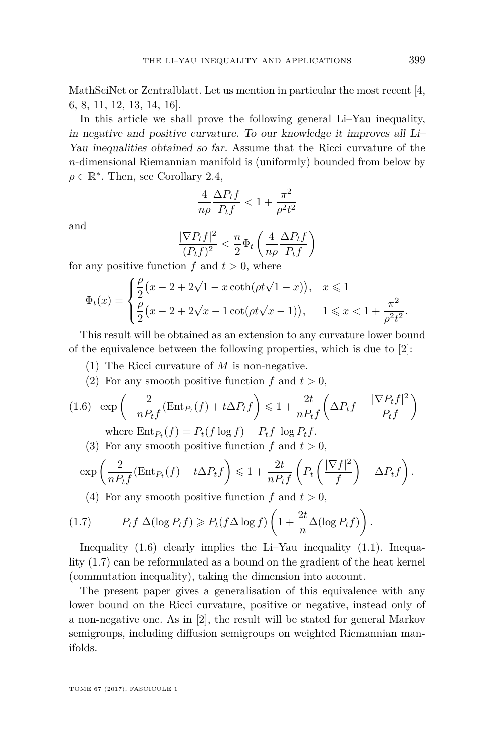MathSciNet or Zentralblatt. Let us mention in particular the most recent [\[4,](#page-24-2) [6,](#page-24-3) [8,](#page-25-4) [11,](#page-25-5) [12,](#page-25-6) [13,](#page-25-7) [14,](#page-25-8) [16\]](#page-25-9).

In this article we shall prove the following general Li–Yau inequality, in negative and positive curvature. To our knowledge it improves all Li– Yau inequalities obtained so far. Assume that the Ricci curvature of the *n*-dimensional Riemannian manifold is (uniformly) bounded from below by  $\rho \in \mathbb{R}^*$ . Then, see Corollary [2.4,](#page-6-0)

$$
\frac{4}{n\rho}\frac{\Delta P_t f}{P_t f} < 1 + \frac{\pi^2}{\rho^2 t^2}
$$

and

$$
\frac{|\nabla P_t f|^2}{(P_t f)^2} < \frac{n}{2} \Phi_t \left( \frac{4}{n\rho} \frac{\Delta P_t f}{P_t f} \right)
$$

for any positive function  $f$  and  $t > 0$ , where

$$
\Phi_t(x) = \begin{cases} \frac{\rho}{2} (x - 2 + 2\sqrt{1 - x} \coth(\rho t \sqrt{1 - x})), & x \le 1 \\ \frac{\rho}{2} (x - 2 + 2\sqrt{x - 1} \cot(\rho t \sqrt{x - 1})), & 1 \le x < 1 + \frac{\pi^2}{\rho^2 t^2}. \end{cases}
$$

This result will be obtained as an extension to any curvature lower bound of the equivalence between the following properties, which is due to [\[2\]](#page-24-4):

- (1) The Ricci curvature of *M* is non-negative.
- <span id="page-3-0"></span>(2) For any smooth positive function  $f$  and  $t > 0$ ,

$$
(1.6) \exp\left(-\frac{2}{nP_t f}(\text{Ent}_{P_t}(f) + t\Delta P_t f)\right) \leq 1 + \frac{2t}{nP_t f}\left(\Delta P_t f - \frac{|\nabla P_t f|^2}{P_t f}\right)
$$

where 
$$
\text{Ent}_{P_t}(f) = P_t(f \log f) - P_t f \log P_t f
$$
.

(3) For any smooth positive function  $f$  and  $t > 0$ ,

$$
\exp\left(\frac{2}{nP_t f}(\text{Ent}_{P_t}(f) - t\Delta P_t f\right) \leq 1 + \frac{2t}{nP_t f}\left(P_t\left(\frac{|\nabla f|^2}{f}\right) - \Delta P_t f\right).
$$

<span id="page-3-1"></span>(4) For any smooth positive function  $f$  and  $t > 0$ ,

(1.7) 
$$
P_t f \Delta(\log P_t f) \geq P_t (f \Delta \log f) \left( 1 + \frac{2t}{n} \Delta(\log P_t f) \right).
$$

Inequality [\(1.6\)](#page-3-0) clearly implies the Li–Yau inequality [\(1.1\)](#page-1-0). Inequality [\(1.7\)](#page-3-1) can be reformulated as a bound on the gradient of the heat kernel (commutation inequality), taking the dimension into account.

The present paper gives a generalisation of this equivalence with any lower bound on the Ricci curvature, positive or negative, instead only of a non-negative one. As in [\[2\]](#page-24-4), the result will be stated for general Markov semigroups, including diffusion semigroups on weighted Riemannian manifolds.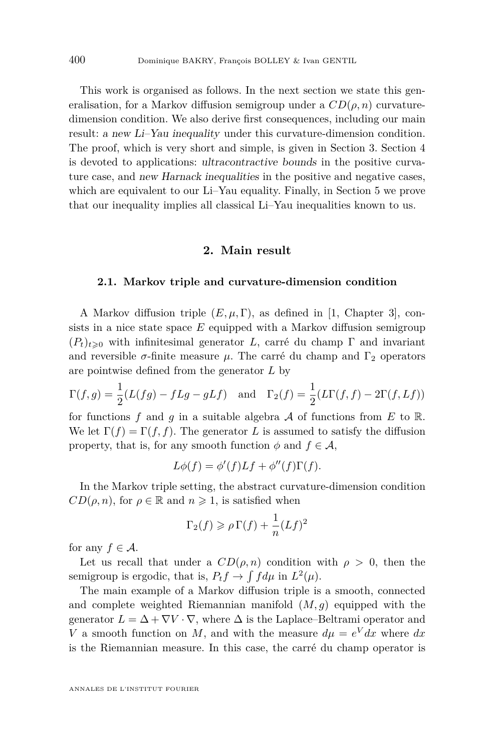This work is organised as follows. In the next section we state this generalisation, for a Markov diffusion semigroup under a  $CD(\rho, n)$  curvaturedimension condition. We also derive first consequences, including our main result: a new Li–Yau inequality under this curvature-dimension condition. The proof, which is very short and simple, is given in Section [3.](#page-8-0) Section [4](#page-10-0) is devoted to applications: ultracontractive bounds in the positive curvature case, and new Harnack inequalities in the positive and negative cases, which are equivalent to our Li–Yau equality. Finally, in Section [5](#page-20-0) we prove that our inequality implies all classical Li–Yau inequalities known to us.

# **2. Main result**

#### <span id="page-4-1"></span><span id="page-4-0"></span>**2.1. Markov triple and curvature-dimension condition**

A Markov diffusion triple  $(E, \mu, \Gamma)$ , as defined in [\[1,](#page-24-5) Chapter 3], consists in a nice state space *E* equipped with a Markov diffusion semigroup  $(P_t)_{t\geq0}$  with infinitesimal generator *L*, carré du champ Γ and invariant and reversible  $\sigma$ -finite measure  $\mu$ . The carré du champ and  $\Gamma_2$  operators are pointwise defined from the generator *L* by

$$
\Gamma(f,g) = \frac{1}{2}(L(fg) - fLg - gLf) \quad \text{and} \quad \Gamma_2(f) = \frac{1}{2}(L\Gamma(f,f) - 2\Gamma(f,Lf))
$$

for functions f and q in a suitable algebra  $\mathcal A$  of functions from  $E$  to  $\mathbb R$ . We let  $\Gamma(f) = \Gamma(f, f)$ . The generator *L* is assumed to satisfy the diffusion property, that is, for any smooth function  $\phi$  and  $f \in \mathcal{A}$ ,

$$
L\phi(f) = \phi'(f)Lf + \phi''(f)\Gamma(f).
$$

In the Markov triple setting, the abstract curvature-dimension condition  $CD(\rho, n)$ , for  $\rho \in \mathbb{R}$  and  $n \geq 1$ , is satisfied when

$$
\Gamma_2(f) \geqslant \rho \Gamma(f) + \frac{1}{n} (Lf)^2
$$

for any  $f \in \mathcal{A}$ .

Let us recall that under a  $CD(\rho, n)$  condition with  $\rho > 0$ , then the semigroup is ergodic, that is,  $P_t f \to \int f d\mu$  in  $L^2(\mu)$ .

The main example of a Markov diffusion triple is a smooth, connected and complete weighted Riemannian manifold (*M, g*) equipped with the generator  $L = \Delta + \nabla V \cdot \nabla$ , where  $\Delta$  is the Laplace–Beltrami operator and *V* a smooth function on *M*, and with the measure  $d\mu = e^V dx$  where  $dx$ is the Riemannian measure. In this case, the carré du champ operator is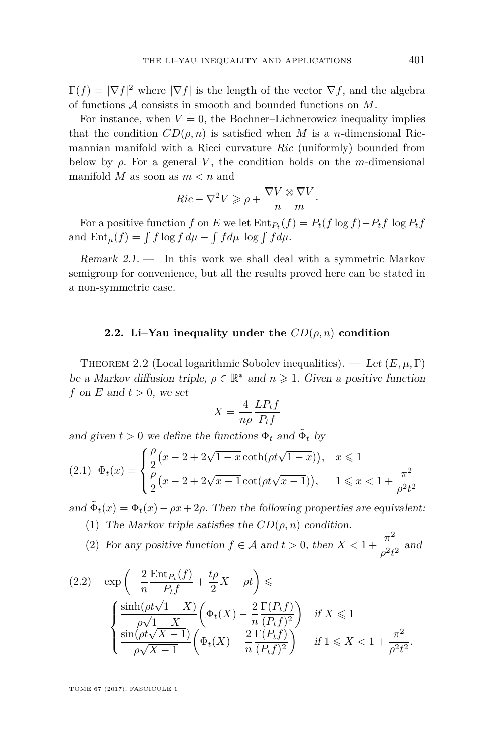$\Gamma(f) = |\nabla f|^2$  where  $|\nabla f|$  is the length of the vector  $\nabla f$ , and the algebra of functions A consists in smooth and bounded functions on *M*.

For instance, when  $V = 0$ , the Bochner–Lichnerowicz inequality implies that the condition  $CD(\rho, n)$  is satisfied when *M* is a *n*-dimensional Riemannian manifold with a Ricci curvature *Ric* (uniformly) bounded from below by  $\rho$ . For a general *V*, the condition holds on the *m*-dimensional manifold *M* as soon as *m < n* and

$$
Ric - \nabla^2 V \geqslant \rho + \frac{\nabla V \otimes \nabla V}{n-m}.
$$

For a positive function *f* on *E* we let  $\text{Ent}_{P_t}(f) = P_t(f \log f) - P_t f \log P_t f$ and  $\text{Ent}_{\mu}(f) = \int f \log f \, d\mu - \int f d\mu \, \log \int f d\mu.$ 

Remark  $2.1.$  — In this work we shall deal with a symmetric Markov semigroup for convenience, but all the results proved here can be stated in a non-symmetric case.

### **2.2. Li–Yau inequality under the** *CD*(*ρ, n*) **condition**

<span id="page-5-2"></span>THEOREM 2.2 (Local logarithmic Sobolev inequalities). — Let  $(E, \mu, \Gamma)$ be a Markov diffusion triple,  $\rho \in \mathbb{R}^*$  and  $n \geq 1$ . Given a positive function *f* on *E* and  $t > 0$ , we set

$$
X = \frac{4}{n\rho} \frac{LP_t f}{P_t f}
$$

and given  $t > 0$  we define the functions  $\Phi_t$  and  $\tilde{\Phi}_t$  by

<span id="page-5-1"></span>
$$
(2.1) \quad \Phi_t(x) = \begin{cases} \frac{\rho}{2} (x - 2 + 2\sqrt{1 - x} \coth(\rho t \sqrt{1 - x})), & x \le 1\\ \frac{\rho}{2} (x - 2 + 2\sqrt{x - 1} \cot(\rho t \sqrt{x - 1})), & 1 \le x < 1 + \frac{\pi^2}{\rho^2 t^2} \end{cases}
$$

<span id="page-5-3"></span>and  $\tilde{\Phi}_t(x) = \Phi_t(x) - \rho x + 2\rho$ . Then the following properties are equivalent:

(1) The Markov triple satisfies the  $CD(\rho, n)$  condition.

<span id="page-5-4"></span>(2) For any positive function  $f \in \mathcal{A}$  and  $t > 0$ , then  $X < 1 + \frac{\pi^2}{2}$  $\frac{\pi}{\rho^2 t^2}$  and

<span id="page-5-0"></span>
$$
(2.2) \quad \exp\left(-\frac{2}{n}\frac{\operatorname{Ent}_{P_t}(f)}{P_t f} + \frac{t\rho}{2}X - \rho t\right) \leq \frac{\sinh(\rho t \sqrt{1-X})}{\rho \sqrt{1-X}} \left(\Phi_t(X) - \frac{2}{n}\frac{\Gamma(P_t f)}{(P_t f)^2}\right) \quad \text{if } X \leq 1
$$
\n
$$
\frac{\sin(\rho t \sqrt{X-1})}{\rho \sqrt{X-1}} \left(\Phi_t(X) - \frac{2}{n}\frac{\Gamma(P_t f)}{(P_t f)^2}\right) \quad \text{if } 1 \leq X < 1 + \frac{\pi^2}{\rho^2 t^2}.
$$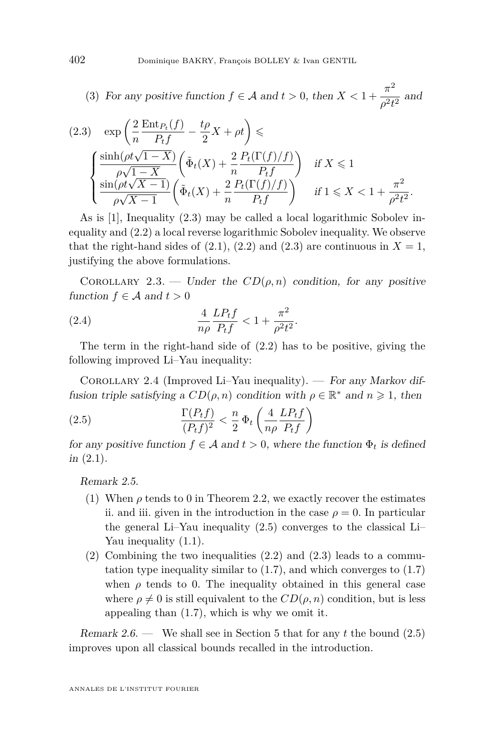<span id="page-6-3"></span>(3) For any positive function  $f \in \mathcal{A}$  and  $t > 0$ , then  $X < 1 + \frac{\pi^2}{2}$  $\frac{d}{\rho^2 t^2}$  and

<span id="page-6-1"></span>
$$
(2.3) \quad \exp\left(\frac{2}{n}\frac{\operatorname{Ent}_{P_t}(f)}{P_t f} - \frac{t\rho}{2}X + \rho t\right) \leq \frac{\sinh(\rho t \sqrt{1-X})}{\rho\sqrt{1-X}} \left(\tilde{\Phi}_t(X) + \frac{2}{n}\frac{P_t(\Gamma(f)/f)}{P_t f}\right) \quad \text{if } X \leq 1
$$
\n
$$
\frac{\sin(\rho t \sqrt{X-1})}{\rho\sqrt{X-1}} \left(\tilde{\Phi}_t(X) + \frac{2}{n}\frac{P_t(\Gamma(f)/f)}{P_t f}\right) \quad \text{if } 1 \leq X < 1 + \frac{\pi^2}{\rho^2 t^2}
$$

As is [\[1\]](#page-24-5), Inequality [\(2.3\)](#page-6-1) may be called a local logarithmic Sobolev inequality and [\(2.2\)](#page-5-0) a local reverse logarithmic Sobolev inequality. We observe that the right-hand sides of  $(2.1)$ ,  $(2.2)$  and  $(2.3)$  are continuous in  $X = 1$ , justifying the above formulations.

*.*

<span id="page-6-5"></span>COROLLARY 2.3. — Under the  $CD(\rho, n)$  condition, for any positive function  $f \in \mathcal{A}$  and  $t > 0$ 

<span id="page-6-4"></span>(2.4) 
$$
\frac{4}{n\rho} \frac{LP_t f}{P_t f} < 1 + \frac{\pi^2}{\rho^2 t^2}.
$$

The term in the right-hand side of [\(2.2\)](#page-5-0) has to be positive, giving the following improved Li–Yau inequality:

<span id="page-6-0"></span>COROLLARY 2.4 (Improved Li–Yau inequality). — For any Markov diffusion triple satisfying a  $CD(\rho, n)$  condition with  $\rho \in \mathbb{R}^*$  and  $n \geq 1$ , then

<span id="page-6-2"></span>(2.5) 
$$
\frac{\Gamma(P_t f)}{(P_t f)^2} < \frac{n}{2} \Phi_t \left( \frac{4}{n\rho} \frac{L P_t f}{P_t f} \right)
$$

for any positive function  $f \in \mathcal{A}$  and  $t > 0$ , where the function  $\Phi_t$  is defined  $in (2.1).$  $in (2.1).$  $in (2.1).$ 

Remark 2.5.

- (1) When  $\rho$  tends to 0 in Theorem [2.2,](#page-5-2) we exactly recover the estimates ii. and iii. given in the introduction in the case  $\rho = 0$ . In particular the general Li–Yau inequality [\(2.5\)](#page-6-2) converges to the classical Li– Yau inequality [\(1.1\)](#page-1-0).
- (2) Combining the two inequalities [\(2.2\)](#page-5-0) and [\(2.3\)](#page-6-1) leads to a commutation type inequality similar to  $(1.7)$ , and which converges to  $(1.7)$ when  $\rho$  tends to 0. The inequality obtained in this general case where  $\rho \neq 0$  is still equivalent to the  $CD(\rho, n)$  condition, but is less appealing than [\(1.7\)](#page-3-1), which is why we omit it.

Remark 2.6. — We shall see in Section [5](#page-20-0) that for any *t* the bound [\(2.5\)](#page-6-2) improves upon all classical bounds recalled in the introduction.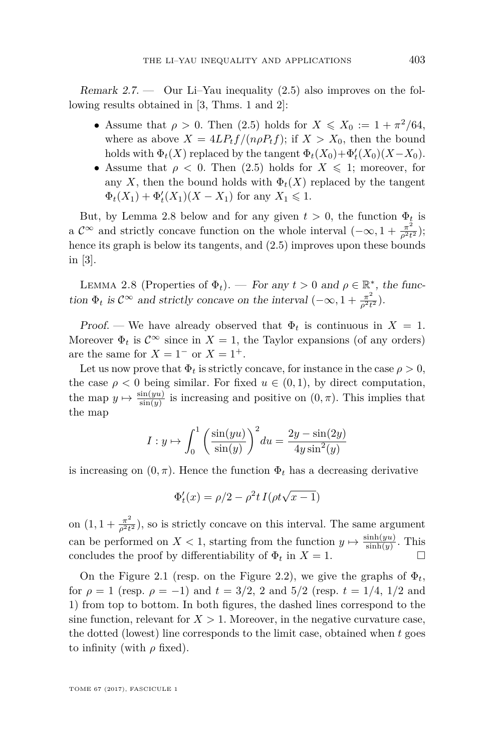Remark 2.7.  $\sim$  Our Li–Yau inequality [\(2.5\)](#page-6-2) also improves on the following results obtained in [\[3,](#page-24-1) Thms. 1 and 2]:

- Assume that  $\rho > 0$ . Then [\(2.5\)](#page-6-2) holds for  $X \leq X_0 := 1 + \frac{\pi^2}{64}$ , where as above  $X = 4LP_tf/(n\rho P_tf)$ ; if  $X > X_0$ , then the bound holds with  $\Phi_t(X)$  replaced by the tangent  $\Phi_t(X_0) + \Phi'_t(X_0)(X - X_0)$ .
- Assume that  $\rho < 0$ . Then [\(2.5\)](#page-6-2) holds for  $X \leq 1$ ; moreover, for any *X*, then the bound holds with  $\Phi_t(X)$  replaced by the tangent  $\Phi_t(X_1) + \Phi'_t(X_1)(X - X_1)$  for any  $X_1 \leq 1$ .

But, by Lemma [2.8](#page-7-0) below and for any given  $t > 0$ , the function  $\Phi_t$  is a  $\mathcal{C}^{\infty}$  and strictly concave function on the whole interval  $(-\infty, 1 + \frac{\pi^2}{\sigma^2 t})$  $\frac{\pi^2}{\rho^2 t^2}$ ); hence its graph is below its tangents, and [\(2.5\)](#page-6-2) improves upon these bounds in [\[3\]](#page-24-1).

<span id="page-7-0"></span>LEMMA 2.8 (Properties of  $\Phi_t$ ). — For any  $t > 0$  and  $\rho \in \mathbb{R}^*$ , the function  $\Phi_t$  is  $\mathcal{C}^{\infty}$  and strictly concave on the interval  $(-\infty, 1 + \frac{\pi^2}{\rho^2 t})$  $\frac{\pi^2}{\rho^2 t^2}$ ).

Proof. — We have already observed that  $\Phi_t$  is continuous in  $X = 1$ . Moreover  $\Phi_t$  is  $\mathcal{C}^{\infty}$  since in  $X = 1$ , the Taylor expansions (of any orders) are the same for  $X = 1^-$  or  $X = 1^+$ .

Let us now prove that  $\Phi_t$  is strictly concave, for instance in the case  $\rho > 0$ , the case  $\rho < 0$  being similar. For fixed  $u \in (0,1)$ , by direct computation, the map  $y \mapsto \frac{\sin(yu)}{\sin(y)}$  is increasing and positive on  $(0, \pi)$ . This implies that the map

$$
I: y \mapsto \int_0^1 \left(\frac{\sin(yu)}{\sin(y)}\right)^2 du = \frac{2y - \sin(2y)}{4y\sin^2(y)}
$$

is increasing on  $(0, \pi)$ . Hence the function  $\Phi_t$  has a decreasing derivative

$$
\Phi_t'(x) = \rho/2 - \rho^2 t I(\rho t \sqrt{x-1})
$$

on  $(1, 1 + \frac{\pi^2}{a^2 t})$  $\frac{\pi^2}{\rho^2 t^2}$ ), so is strictly concave on this interval. The same argument can be performed on  $X < 1$ , starting from the function  $y \mapsto \frac{\sinh(yu)}{\sinh(y)}$ . This concludes the proof by differentiability of  $\Phi_t$  in  $X = 1$ .

On the Figure [2.1](#page-8-1) (resp. on the Figure [2.2\)](#page-8-2), we give the graphs of  $\Phi_t$ , for  $\rho = 1$  (resp.  $\rho = -1$ ) and  $t = 3/2$ , 2 and  $5/2$  (resp.  $t = 1/4$ ,  $1/2$  and 1) from top to bottom. In both figures, the dashed lines correspond to the sine function, relevant for  $X > 1$ . Moreover, in the negative curvature case, the dotted (lowest) line corresponds to the limit case, obtained when *t* goes to infinity (with  $\rho$  fixed).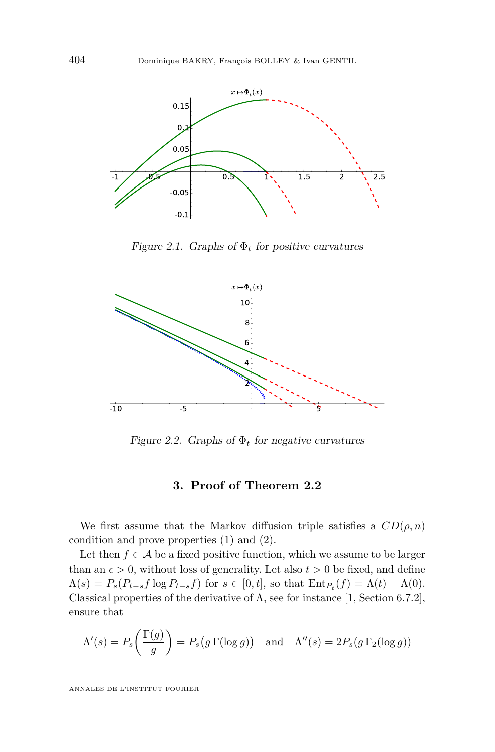

<span id="page-8-1"></span>Figure 2.1. Graphs of  $\Phi_t$  for positive curvatures



Figure 2.2. Graphs of  $\Phi_t$  for negative curvatures

# <span id="page-8-2"></span>**3. Proof of Theorem [2.2](#page-5-2)**

<span id="page-8-0"></span>We first assume that the Markov diffusion triple satisfies a  $CD(\rho, n)$ condition and prove properties [\(1\)](#page-5-3) and [\(2\)](#page-5-4).

Let then  $f \in \mathcal{A}$  be a fixed positive function, which we assume to be larger than an  $\epsilon > 0$ , without loss of generality. Let also  $t > 0$  be fixed, and define  $\Lambda(s) = P_s(P_{t-s}f \log P_{t-s}f)$  for  $s \in [0,t]$ , so that  $\text{Ent}_{P_t}(f) = \Lambda(t) - \Lambda(0)$ . Classical properties of the derivative of  $\Lambda$ , see for instance [\[1,](#page-24-5) Section 6.7.2], ensure that

$$
\Lambda'(s) = P_s\left(\frac{\Gamma(g)}{g}\right) = P_s\left(g\,\Gamma(\log g)\right) \quad \text{and} \quad \Lambda''(s) = 2P_s(g\,\Gamma_2(\log g))
$$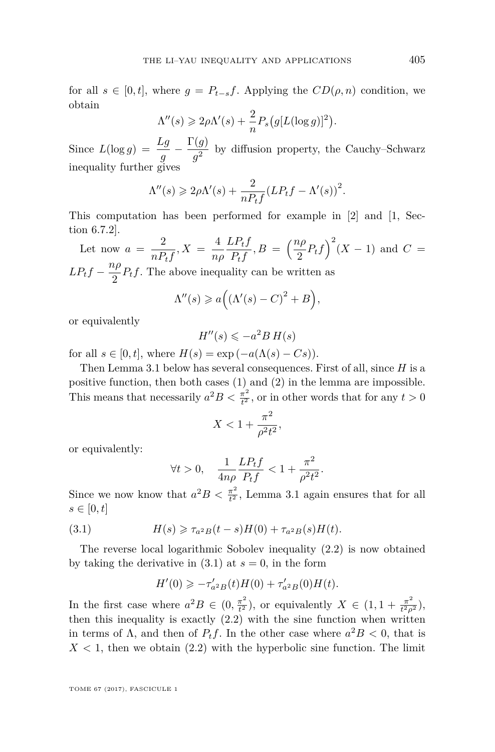for all  $s \in [0, t]$ , where  $g = P_{t-s}f$ . Applying the  $CD(\rho, n)$  condition, we obtain

$$
\Lambda''(s) \geq 2\rho \Lambda'(s) + \frac{2}{n} P_s(g[L(\log g)]^2).
$$

Since  $L(\log g) = \frac{Lg}{g} - \frac{\Gamma(g)}{g^2}$  $\frac{g}{g^2}$  by diffusion property, the Cauchy–Schwarz inequality further gives

$$
\Lambda''(s) \geq 2\rho \Lambda'(s) + \frac{2}{nP_tf} (LP_tf - \Lambda'(s))^2.
$$

This computation has been performed for example in [\[2\]](#page-24-4) and [\[1,](#page-24-5) Section 6.7.2].

Let now  $a = \frac{2}{\sqrt{2}}$  $\frac{2}{nP_t f}, X = \frac{4}{n_h}$ *nρ LPtf*  $\frac{L P_t f}{P_t f}, B = \left(\frac{n \rho}{2}\right)$  $\left(\frac{2p}{2}P_tf\right)^2(X-1)$  and  $C=$  $L P_t f - \frac{n \rho}{2}$  $\frac{P}{2}P_t f$ . The above inequality can be written as

$$
\Lambda''(s) \geq a\Big(\big(\Lambda'(s) - C\big)^2 + B\Big),\,
$$

or equivalently

$$
H''(s) \leqslant -a^2 B H(s)
$$

for all  $s \in [0, t]$ , where  $H(s) = \exp(-a(\Lambda(s) - Cs))$ .

Then Lemma [3.1](#page-10-1) below has several consequences. First of all, since *H* is a positive function, then both cases [\(1\)](#page-10-2) and [\(2\)](#page-10-3) in the lemma are impossible. This means that necessarily  $a^2B < \frac{\pi^2}{l^2}$  $\frac{\pi^2}{t^2}$ , or in other words that for any  $t > 0$ 

$$
X<1+\frac{\pi^2}{\rho^2 t^2},
$$

or equivalently:

$$
\forall t > 0, \quad \frac{1}{4n\rho} \frac{LP_t f}{P_t f} < 1 + \frac{\pi^2}{\rho^2 t^2}.
$$

Since we now know that  $a^2B < \frac{\pi^2}{l^2}$  $\frac{\pi^2}{t^2}$ , Lemma [3.1](#page-10-1) again ensures that for all  $s \in [0, t]$ 

(3.1) 
$$
H(s) \ge \tau_{a^2B}(t-s)H(0) + \tau_{a^2B}(s)H(t).
$$

The reverse local logarithmic Sobolev inequality [\(2.2\)](#page-5-0) is now obtained by taking the derivative in  $(3.1)$  at  $s = 0$ , in the form

<span id="page-9-0"></span>
$$
H'(0) \geqslant -\tau'_{a^{2}B}(t)H(0) + \tau'_{a^{2}B}(0)H(t).
$$

In the first case where  $a^2B \in (0, \frac{\pi^2}{l^2})$  $\frac{\pi^2}{t^2}$ ), or equivalently  $X \in (1, 1 + \frac{\pi^2}{t^2 \rho})$  $\frac{\pi^2}{t^2 \rho^2}$ ), then this inequality is exactly  $(2.2)$  with the sine function when written in terms of  $\Lambda$ , and then of  $P_t f$ . In the other case where  $a^2B < 0$ , that is  $X < 1$ , then we obtain  $(2.2)$  with the hyperbolic sine function. The limit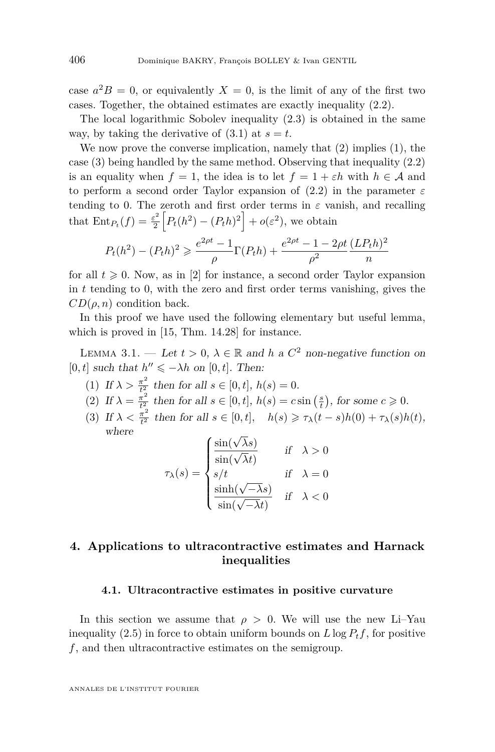case  $a^2B = 0$ , or equivalently  $X = 0$ , is the limit of any of the first two cases. Together, the obtained estimates are exactly inequality [\(2.2\)](#page-5-0).

The local logarithmic Sobolev inequality [\(2.3\)](#page-6-1) is obtained in the same way, by taking the derivative of  $(3.1)$  at  $s = t$ .

We now prove the converse implication, namely that  $(2)$  implies  $(1)$ , the case [\(3\)](#page-6-3) being handled by the same method. Observing that inequality [\(2.2\)](#page-5-0) is an equality when  $f = 1$ , the idea is to let  $f = 1 + \varepsilon h$  with  $h \in \mathcal{A}$  and to perform a second order Taylor expansion of [\(2.2\)](#page-5-0) in the parameter *ε* tending to 0. The zeroth and first order terms in  $\varepsilon$  vanish, and recalling that  $\text{Ent}_{P_t}(f) = \frac{\varepsilon^2}{2}$  $\frac{e^{2}}{2}\left[P_{t}(h^{2})-(P_{t}h)^{2}\right]+o(\varepsilon^{2}),$  we obtain

$$
P_t(h^2) - (P_t h)^2 \ge \frac{e^{2\rho t} - 1}{\rho} \Gamma(P_t h) + \frac{e^{2\rho t} - 1 - 2\rho t}{\rho^2} \frac{(L P_t h)^2}{n}
$$

for all  $t \geq 0$ . Now, as in [\[2\]](#page-24-4) for instance, a second order Taylor expansion in *t* tending to 0, with the zero and first order terms vanishing, gives the  $CD(\rho, n)$  condition back.

In this proof we have used the following elementary but useful lemma, which is proved in [\[15,](#page-25-10) Thm. 14.28] for instance.

<span id="page-10-1"></span>LEMMA 3.1. — Let  $t > 0$ ,  $\lambda \in \mathbb{R}$  and *h* a  $C^2$  non-negative function on  $[0, t]$  such that  $h'' \leq -\lambda h$  on  $[0, t]$ . Then:

- <span id="page-10-2"></span>(1) If  $\lambda > \frac{\pi^2}{t^2}$  $\frac{\pi^2}{t^2}$  then for all  $s \in [0, t]$ ,  $h(s) = 0$ .
- <span id="page-10-3"></span>(2) If  $\lambda = \frac{\pi^2}{t^2}$  $\frac{\pi^2}{t^2}$  then for all  $s \in [0, t]$ ,  $h(s) = c \sin\left(\frac{s}{t}\right)$ , for some  $c \ge 0$ .
- (3) If  $\lambda < \frac{\pi^2}{t^2}$ *t*<sup> $\frac{\pi^2}{t^2}$  then for all  $s \in [0, t]$ ,  $h(s) \geq \tau_\lambda(t - s)h(0) + \tau_\lambda(s)h(t)$ ,</sup> where

$$
\tau_{\lambda}(s) = \begin{cases} \frac{\sin(\sqrt{\lambda}s)}{\sin(\sqrt{\lambda}t)} & \text{if} \quad \lambda > 0\\ s/t & \text{if} \quad \lambda = 0\\ \frac{\sinh(\sqrt{-\lambda}s)}{\sin(\sqrt{-\lambda}t)} & \text{if} \quad \lambda < 0 \end{cases}
$$

# <span id="page-10-0"></span>**4. Applications to ultracontractive estimates and Harnack inequalities**

#### <span id="page-10-4"></span>**4.1. Ultracontractive estimates in positive curvature**

In this section we assume that  $\rho > 0$ . We will use the new Li–Yau inequality [\(2.5\)](#page-6-2) in force to obtain uniform bounds on  $L \log P_t f$ , for positive *f*, and then ultracontractive estimates on the semigroup.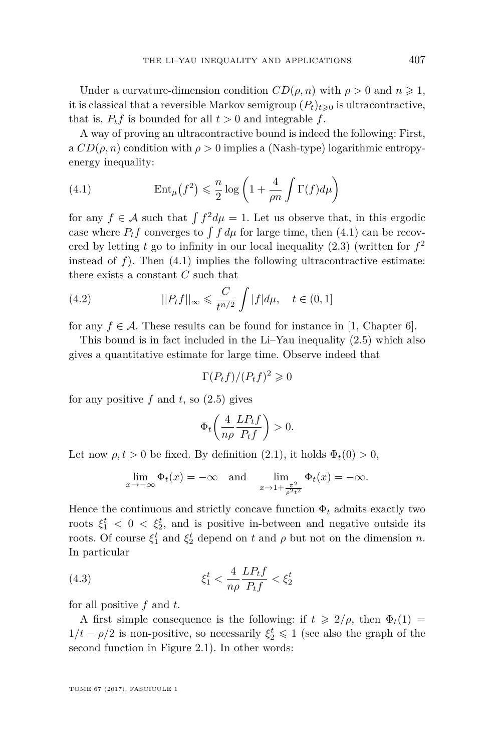Under a curvature-dimension condition  $CD(\rho, n)$  with  $\rho > 0$  and  $n \geq 1$ , it is classical that a reversible Markov semigroup  $(P_t)_{t\geq0}$  is ultracontractive, that is,  $P_t f$  is bounded for all  $t > 0$  and integrable  $f$ .

A way of proving an ultracontractive bound is indeed the following: First, a  $CD(\rho, n)$  condition with  $\rho > 0$  implies a (Nash-type) logarithmic entropyenergy inequality:

<span id="page-11-0"></span>(4.1) 
$$
\operatorname{Ent}_{\mu}(f^2) \leq \frac{n}{2} \log \left( 1 + \frac{4}{\rho n} \int \Gamma(f) d\mu \right)
$$

for any  $f \in \mathcal{A}$  such that  $\int f^2 d\mu = 1$ . Let us observe that, in this ergodic case where  $P_t f$  converges to  $\int f d\mu$  for large time, then [\(4.1\)](#page-11-0) can be recovered by letting *t* go to infinity in our local inequality [\(2.3\)](#page-6-1) (written for *f* 2 instead of  $f$ ). Then  $(4.1)$  implies the following ultracontractive estimate: there exists a constant *C* such that

(4.2) 
$$
||P_t f||_{\infty} \leq \frac{C}{t^{n/2}} \int |f| d\mu, \quad t \in (0, 1]
$$

for any  $f \in \mathcal{A}$ . These results can be found for instance in [\[1,](#page-24-5) Chapter 6].

This bound is in fact included in the Li–Yau inequality [\(2.5\)](#page-6-2) which also gives a quantitative estimate for large time. Observe indeed that

<span id="page-11-2"></span>
$$
\Gamma(P_t f)/(P_t f)^2 \geq 0
$$

for any positive  $f$  and  $t$ , so  $(2.5)$  gives

$$
\Phi_t\bigg(\frac{4}{n\rho}\frac{LP_tf}{P_tf}\bigg) > 0.
$$

Let now  $\rho, t > 0$  be fixed. By definition [\(2.1\)](#page-5-1), it holds  $\Phi_t(0) > 0$ ,

<span id="page-11-1"></span>
$$
\lim_{x \to -\infty} \Phi_t(x) = -\infty \quad \text{and} \quad \lim_{x \to 1 + \frac{\pi^2}{\rho^2 t^2}} \Phi_t(x) = -\infty.
$$

Hence the continuous and strictly concave function  $\Phi_t$  admits exactly two roots  $\xi_1^t$  < 0 <  $\xi_2^t$ , and is positive in-between and negative outside its roots. Of course  $\xi_1^t$  and  $\xi_2^t$  depend on *t* and  $\rho$  but not on the dimension *n*. In particular

(4.3) 
$$
\xi_1^t < \frac{4}{n\rho} \frac{L P_t f}{P_t f} < \xi_2^t
$$

for all positive *f* and *t*.

A first simple consequence is the following: if  $t \geqslant 2/\rho$ , then  $\Phi_t(1) =$  $1/t − ρ/2$  is non-positive, so necessarily  $\xi_2^t$  ≤ 1 (see also the graph of the second function in Figure [2.1\)](#page-8-1). In other words: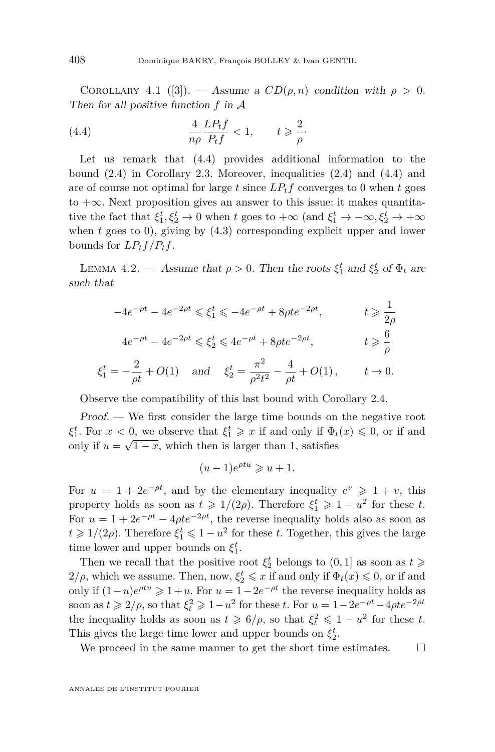COROLLARY 4.1 ([\[3\]](#page-24-1)). — Assume a  $CD(\rho, n)$  condition with  $\rho > 0$ . Then for all positive function *f* in A

<span id="page-12-0"></span>(4.4) 
$$
\frac{4}{n\rho} \frac{LP_t f}{P_t f} < 1, \qquad t \geq \frac{2}{\rho}.
$$

Let us remark that [\(4.4\)](#page-12-0) provides additional information to the bound [\(2.4\)](#page-6-4) in Corollary [2.3.](#page-6-5) Moreover, inequalities [\(2.4\)](#page-6-4) and [\(4.4\)](#page-12-0) and are of course not optimal for large  $t$  since  $L P_t f$  converges to 0 when  $t$  goes to  $+\infty$ . Next proposition gives an answer to this issue: it makes quantitative the fact that  $\xi_1^t, \xi_2^t \to 0$  when *t* goes to  $+\infty$  (and  $\xi_1^t \to -\infty, \xi_2^t \to +\infty$ when *t* goes to 0), giving by  $(4.3)$  corresponding explicit upper and lower bounds for  $LP_tf/P_tf$ .

<span id="page-12-1"></span>LEMMA 4.2. — Assume that  $\rho > 0$ . Then the roots  $\xi_1^t$  and  $\xi_2^t$  of  $\Phi_t$  are such that

$$
-4e^{-\rho t} - 4e^{-2\rho t} \le \xi_1^t \le -4e^{-\rho t} + 8\rho t e^{-2\rho t}, \qquad t \ge \frac{1}{2\rho}
$$
  

$$
4e^{-\rho t} - 4e^{-2\rho t} \le \xi_2^t \le 4e^{-\rho t} + 8\rho t e^{-2\rho t}, \qquad t \ge \frac{6}{\rho}
$$
  

$$
\xi_1^t = -\frac{2}{\rho t} + O(1) \quad \text{and} \quad \xi_2^t = \frac{\pi^2}{\rho^2 t^2} - \frac{4}{\rho t} + O(1), \qquad t \to 0.
$$

Observe the compatibility of this last bound with Corollary [2.4.](#page-6-4)

Proof. — We first consider the large time bounds on the negative root  $\xi_1^t$ . For  $x < 0$ , we observe that  $\xi_1^t \geq x$  if and only if  $\Phi_t(x) \leq 0$ , or if and only if  $u = \sqrt{1-x}$ , which then is larger than 1, satisfies

$$
(u-1)e^{\rho tu} \geq u+1.
$$

For  $u = 1 + 2e^{-\rho t}$ , and by the elementary inequality  $e^v \geq 1 + v$ , this property holds as soon as  $t \geq 1/(2\rho)$ . Therefore  $\xi_1^t \geq 1 - u^2$  for these *t*. For  $u = 1 + 2e^{-\rho t} - 4\rho t e^{-2\rho t}$ , the reverse inequality holds also as soon as  $t \geq 1/(2\rho)$ . Therefore  $\xi_1^t \leq 1 - u^2$  for these *t*. Together, this gives the large time lower and upper bounds on  $\xi_1^t$ .

Then we recall that the positive root  $\xi_2^t$  belongs to  $(0,1]$  as soon as  $t \geqslant$  $2/\rho$ , which we assume. Then, now,  $\xi_2^t \leqslant x$  if and only if  $\Phi_t(x) \leqslant 0$ , or if and only if  $(1 - u)e^{\rho t u}$  ≥ 1+*u*. For  $u = 1 - 2e^{-\rho t}$  the reverse inequality holds as soon as  $t \ge 2/\rho$ , so that  $\xi_t^2 \ge 1 - u^2$  for these *t*. For  $u = 1 - 2e^{-\rho t} - 4\rho t e^{-2\rho t}$ the inequality holds as soon as  $t \geq 6/\rho$ , so that  $\xi_t^2 \leq 1 - u^2$  for these *t*. This gives the large time lower and upper bounds on  $\xi_2^t$ .

We proceed in the same manner to get the short time estimates.  $\Box$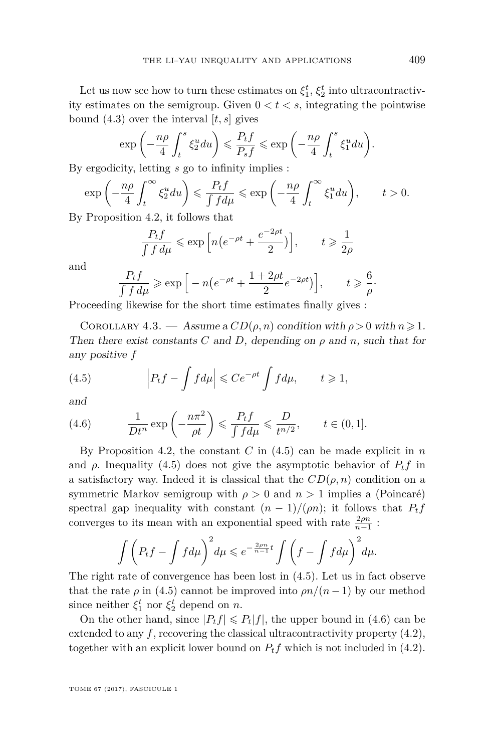Let us now see how to turn these estimates on  $\xi_1^t$ ,  $\xi_2^t$  into ultracontractivity estimates on the semigroup. Given  $0 < t < s$ , integrating the pointwise bound [\(4.3\)](#page-11-1) over the interval [*t, s*] gives

$$
\exp\left(-\frac{n\rho}{4}\int_t^s \xi_2^u du\right) \leqslant \frac{P_t f}{P_s f} \leqslant \exp\left(-\frac{n\rho}{4}\int_t^s \xi_1^u du\right).
$$

By ergodicity, letting *s* go to infinity implies :

$$
\exp\left(-\frac{n\rho}{4}\int_t^\infty \xi_2^u du\right) \leq \frac{P_t f}{\int f d\mu} \leq \exp\left(-\frac{n\rho}{4}\int_t^\infty \xi_1^u du\right), \qquad t > 0.
$$

By Proposition [4.2,](#page-12-1) it follows that

$$
\frac{P_t f}{\int f \, d\mu} \leqslant \exp\left[n\left(e^{-\rho t} + \frac{e^{-2\rho t}}{2}\right)\right], \qquad t \geqslant \frac{1}{2\rho}
$$

and

$$
\frac{P_t f}{\int f d\mu} \ge \exp\left[-n\left(e^{-\rho t} + \frac{1+2\rho t}{2}e^{-2\rho t}\right)\right], \qquad t \ge \frac{6}{\rho}.
$$

Proceeding likewise for the short time estimates finally gives :

COROLLARY 4.3. — Assume a  $CD(\rho, n)$  condition with  $\rho > 0$  with  $n \geq 1$ . Then there exist constants *C* and *D*, depending on  $\rho$  and  $n$ , such that for any positive *f*

<span id="page-13-0"></span>(4.5) 
$$
\left| P_t f - \int f d\mu \right| \leq C e^{-\rho t} \int f d\mu, \qquad t \geq 1,
$$

and

<span id="page-13-1"></span>(4.6) 
$$
\frac{1}{Dt^n} \exp\left(-\frac{n\pi^2}{\rho t}\right) \leqslant \frac{P_t f}{\int f d\mu} \leqslant \frac{D}{t^{n/2}}, \qquad t \in (0, 1].
$$

By Proposition [4.2,](#page-12-1) the constant *C* in [\(4.5\)](#page-13-0) can be made explicit in *n* and  $\rho$ . Inequality [\(4.5\)](#page-13-0) does not give the asymptotic behavior of  $P_t f$  in a satisfactory way. Indeed it is classical that the  $CD(\rho, n)$  condition on a symmetric Markov semigroup with *ρ >* 0 and *n >* 1 implies a (Poincaré) spectral gap inequality with constant  $(n-1)/(\rho n)$ ; it follows that  $P_t f$ converges to its mean with an exponential speed with rate  $\frac{2\rho n}{n-1}$ :

$$
\int \left( P_t f - \int f d\mu \right)^2 d\mu \leqslant e^{-\frac{2\rho n}{n-1}t} \int \left( f - \int f d\mu \right)^2 d\mu.
$$

The right rate of convergence has been lost in [\(4.5\)](#page-13-0). Let us in fact observe that the rate  $\rho$  in [\(4.5\)](#page-13-0) cannot be improved into  $\rho n/(n-1)$  by our method since neither  $\xi_1^t$  nor  $\xi_2^t$  depend on *n*.

On the other hand, since  $|P_t f| \leq P_t |f|$ , the upper bound in [\(4.6\)](#page-13-1) can be extended to any  $f$ , recovering the classical ultracontractivity property  $(4.2)$ , together with an explicit lower bound on  $P_t f$  which is not included in [\(4.2\)](#page-11-2).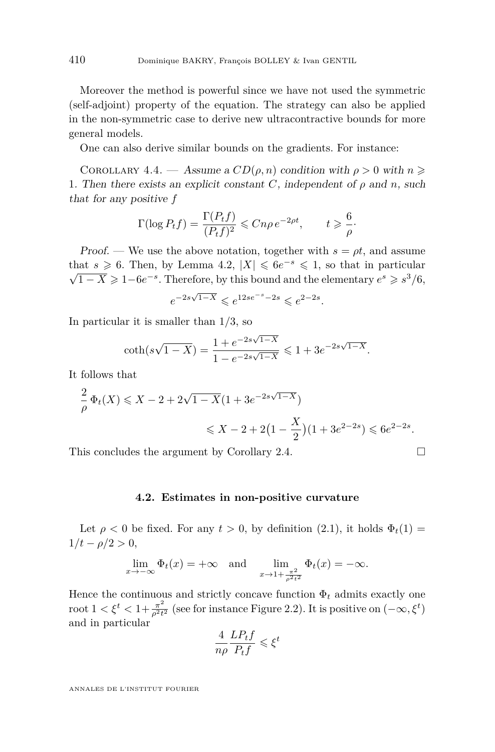Moreover the method is powerful since we have not used the symmetric (self-adjoint) property of the equation. The strategy can also be applied in the non-symmetric case to derive new ultracontractive bounds for more general models.

One can also derive similar bounds on the gradients. For instance:

COROLLARY 4.4. — Assume a  $CD(\rho, n)$  condition with  $\rho > 0$  with  $n \geqslant$ 1. Then there exists an explicit constant *C*, independent of  $\rho$  and *n*, such that for any positive *f*

$$
\Gamma(\log P_t f) = \frac{\Gamma(P_t f)}{(P_t f)^2} \leq C n \rho e^{-2\rho t}, \qquad t \geq \frac{6}{\rho}.
$$

Proof. — We use the above notation, together with  $s = \rho t$ , and assume that  $s \geq 6$ . Then, by Lemma [4.2,](#page-12-1)  $|X| \leq 6e^{-s} \leq 1$ , so that in particular  $\overline{1-X} \geqslant 1-6e^{-s}$ . Therefore, by this bound and the elementary  $e^s \geqslant s^3/6$ ,

$$
e^{-2s\sqrt{1-X}} \leq e^{12se^{-s}-2s} \leq e^{2-2s}.
$$

In particular it is smaller than 1*/*3, so

$$
\coth(s\sqrt{1-X}) = \frac{1+e^{-2s\sqrt{1-X}}}{1-e^{-2s\sqrt{1-X}}} \leq 1+3e^{-2s\sqrt{1-X}}.
$$

It follows that

$$
\frac{2}{\rho} \Phi_t(X) \leqslant X - 2 + 2\sqrt{1 - X}(1 + 3e^{-2s\sqrt{1 - X}})
$$
  

$$
\leqslant X - 2 + 2\left(1 - \frac{X}{2}\right)(1 + 3e^{2-2s}) \leqslant 6e^{2-2s}.
$$

This concludes the argument by Corollary [2.4.](#page-6-0)  $\Box$ 

#### **4.2. Estimates in non-positive curvature**

<span id="page-14-0"></span>Let  $\rho < 0$  be fixed. For any  $t > 0$ , by definition  $(2.1)$ , it holds  $\Phi_t(1) =$  $1/t - \rho/2 > 0$ ,

$$
\lim_{x \to -\infty} \Phi_t(x) = +\infty \quad \text{and} \quad \lim_{x \to 1 + \frac{\pi^2}{\rho^2 t^2}} \Phi_t(x) = -\infty.
$$

Hence the continuous and strictly concave function  $\Phi_t$  admits exactly one root  $1 < \xi^t < 1 + \frac{\pi^2}{c^2 t}$  $\frac{\pi^2}{\rho^2 t^2}$  (see for instance Figure [2.2\)](#page-8-2). It is positive on  $(-\infty, \xi^t)$ and in particular

$$
\frac{4}{n\rho}\frac{LP_tf}{P_tf} \leqslant \xi^t
$$

ANNALES DE L'INSTITUT FOURIER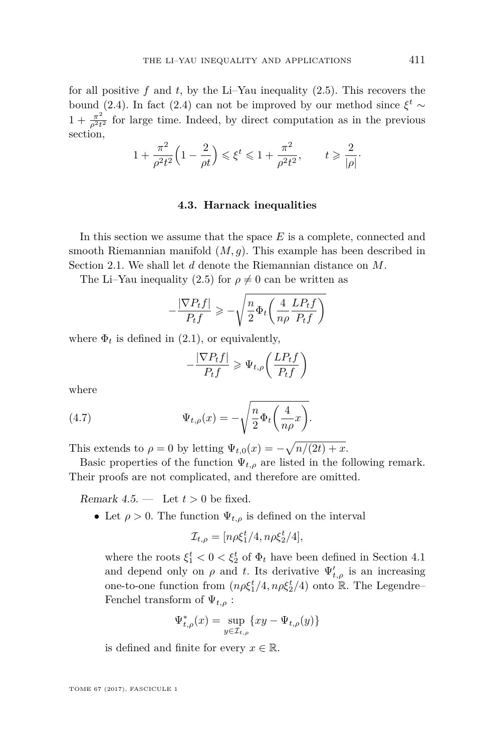for all positive  $f$  and  $t$ , by the Li–Yau inequality  $(2.5)$ . This recovers the bound [\(2.4\)](#page-6-4). In fact (2.4) can not be improved by our method since  $\xi^t \sim$  $1 + \frac{\pi^2}{a^2 t}$  $\frac{\pi^2}{\rho^2 t^2}$  for large time. Indeed, by direct computation as in the previous section,

$$
1 + \frac{\pi^2}{\rho^2 t^2} \left( 1 - \frac{2}{\rho t} \right) \leqslant \xi^t \leqslant 1 + \frac{\pi^2}{\rho^2 t^2}, \qquad t \geqslant \frac{2}{|\rho|}.
$$

#### **4.3. Harnack inequalities**

In this section we assume that the space *E* is a complete, connected and smooth Riemannian manifold (*M, g*). This example has been described in Section [2.1.](#page-4-0) We shall let *d* denote the Riemannian distance on *M*.

The Li–Yau inequality [\(2.5\)](#page-6-2) for  $\rho \neq 0$  can be written as

$$
-\frac{|\nabla P_t f|}{P_t f} \geqslant -\sqrt{\frac{n}{2} \Phi_t \left(\frac{4}{n\rho} \frac{L P_t f}{P_t f}\right)}
$$

where  $\Phi_t$  is defined in [\(2.1\)](#page-5-1), or equivalently,

<span id="page-15-0"></span>
$$
-\frac{|\nabla P_t f|}{P_t f} \ge \Psi_{t,\rho} \left( \frac{L P_t f}{P_t f} \right)
$$

where

(4.7) 
$$
\Psi_{t,\rho}(x) = -\sqrt{\frac{n}{2}\Phi_t\left(\frac{4}{n\rho}x\right)}.
$$

This extends to  $\rho = 0$  by letting  $\Psi_{t,0}(x) = -\sqrt{n/(2t) + x}$ .

Basic properties of the function  $\Psi_{t,\rho}$  are listed in the following remark. Their proofs are not complicated, and therefore are omitted.

<span id="page-15-1"></span>Remark  $4.5.$  — Let  $t > 0$  be fixed.

• Let  $\rho > 0$ . The function  $\Psi_{t,\rho}$  is defined on the interval

$$
\mathcal{I}_{t,\rho} = [n\rho \xi_1^t/4, n\rho \xi_2^t/4],
$$

where the roots  $\xi_1^t < 0 < \xi_2^t$  of  $\Phi_t$  have been defined in Section [4.1](#page-10-4) and depend only on  $\rho$  and *t*. Its derivative  $\Psi'_{t,\rho}$  is an increasing one-to-one function from  $(n\rho \xi_1^t/4, n\rho \xi_2^t/4)$  onto  $\mathbb R$ . The Legendre– Fenchel transform of  $\Psi_{t,\rho}$ :

$$
\Psi_{t,\rho}^*(x) = \sup_{y \in \mathcal{I}_{t,\rho}} \{ xy - \Psi_{t,\rho}(y) \}
$$

is defined and finite for every  $x \in \mathbb{R}$ .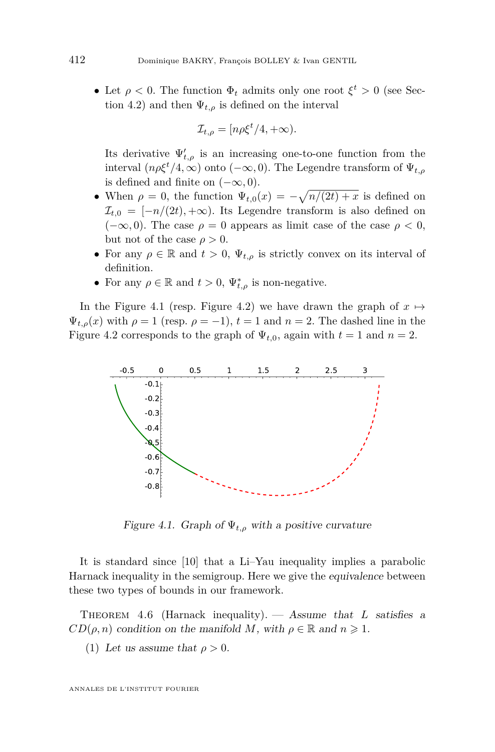• Let  $\rho < 0$ . The function  $\Phi_t$  admits only one root  $\xi^t > 0$  (see Sec-tion [4.2\)](#page-14-0) and then  $\Psi_{t,o}$  is defined on the interval

$$
\mathcal{I}_{t,\rho} = [n\rho \xi^t/4, +\infty).
$$

Its derivative  $\Psi'_{t,\rho}$  is an increasing one-to-one function from the interval  $(n \rho \xi^t / 4, \infty)$  onto  $(-\infty, 0)$ . The Legendre transform of  $\Psi_{t,\rho}$ is defined and finite on  $(-\infty, 0)$ .

- When  $\rho = 0$ , the function  $\Psi_{t,0}(x) = -\sqrt{n/(2t) + x}$  is defined on  $\mathcal{I}_{t,0} = [-n/(2t), +\infty)$ . Its Legendre transform is also defined on  $(-\infty, 0)$ . The case  $\rho = 0$  appears as limit case of the case  $\rho < 0$ , but not of the case  $\rho > 0$ .
- For any  $\rho \in \mathbb{R}$  and  $t > 0$ ,  $\Psi_{t,\rho}$  is strictly convex on its interval of definition.
- For any  $\rho \in \mathbb{R}$  and  $t > 0$ ,  $\Psi_{t,\rho}^*$  is non-negative.

In the Figure [4.1](#page-16-0) (resp. Figure [4.2\)](#page-17-0) we have drawn the graph of  $x \mapsto$  $\Psi_{t,\rho}(x)$  with  $\rho = 1$  (resp.  $\rho = -1$ ),  $t = 1$  and  $n = 2$ . The dashed line in the Figure [4.2](#page-17-0) corresponds to the graph of  $\Psi_{t,0}$ , again with  $t=1$  and  $n=2$ .



<span id="page-16-0"></span>Figure 4.1. Graph of  $\Psi_{t,\rho}$  with a positive curvature

It is standard since [\[10\]](#page-25-0) that a Li–Yau inequality implies a parabolic Harnack inequality in the semigroup. Here we give the equivalence between these two types of bounds in our framework.

<span id="page-16-1"></span>THEOREM 4.6 (Harnack inequality). — Assume that *L* satisfies a  $CD(\rho, n)$  condition on the manifold *M*, with  $\rho \in \mathbb{R}$  and  $n \geq 1$ .

(1) Let us assume that  $\rho > 0$ .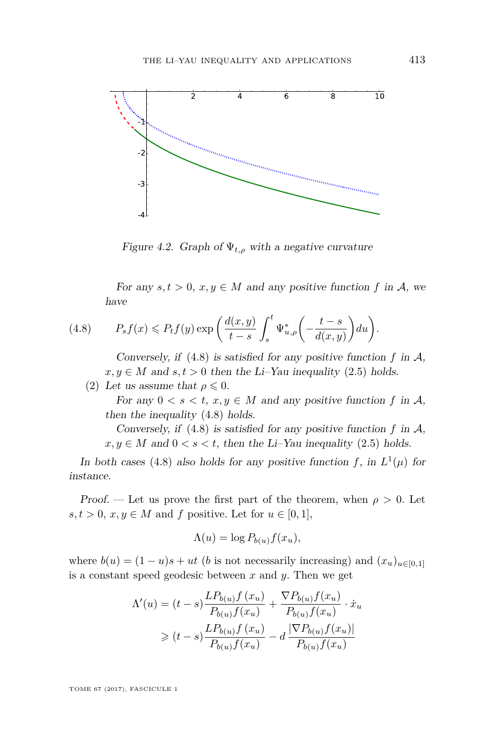

<span id="page-17-0"></span>Figure 4.2. Graph of  $\Psi_{t,\rho}$  with a negative curvature

<span id="page-17-1"></span>For any  $s, t > 0, x, y \in M$  and any positive function f in A, we have

(4.8) 
$$
P_s f(x) \le P_t f(y) \exp\left(\frac{d(x,y)}{t-s} \int_s^t \Psi_{u,\rho}^* \left(-\frac{t-s}{d(x,y)}\right) du\right).
$$

Conversely, if  $(4.8)$  is satisfied for any positive function  $f$  in  $\mathcal{A}$ ,  $x, y \in M$  and  $s, t > 0$  then the Li–Yau inequality [\(2.5\)](#page-6-2) holds.

(2) Let us assume that  $\rho \leq 0$ .

For any  $0 < s < t$ ,  $x, y \in M$  and any positive function f in A, then the inequality [\(4.8\)](#page-17-1) holds.

Conversely, if  $(4.8)$  is satisfied for any positive function  $f$  in  $\mathcal{A}$ ,  $x, y \in M$  and  $0 < s < t$ , then the Li–Yau inequality [\(2.5\)](#page-6-2) holds.

In both cases [\(4.8\)](#page-17-1) also holds for any positive function *f*, in  $L^1(\mu)$  for instance.

Proof. — Let us prove the first part of the theorem, when  $\rho > 0$ . Let  $s, t > 0, x, y \in M$  and  $f$  positive. Let for  $u \in [0, 1],$ 

$$
\Lambda(u) = \log P_{b(u)} f(x_u),
$$

where  $b(u) = (1 - u)s + ut$  (*b* is not necessarily increasing) and  $(x_u)_{u \in [0,1]}$ is a constant speed geodesic between *x* and *y*. Then we get

$$
\Lambda'(u) = (t - s) \frac{LP_{b(u)}f(x_u)}{P_{b(u)}f(x_u)} + \frac{\nabla P_{b(u)}f(x_u)}{P_{b(u)}f(x_u)} \cdot \dot{x}_u
$$
  

$$
\geq (t - s) \frac{LP_{b(u)}f(x_u)}{P_{b(u)}f(x_u)} - d \frac{|\nabla P_{b(u)}f(x_u)|}{P_{b(u)}f(x_u)}
$$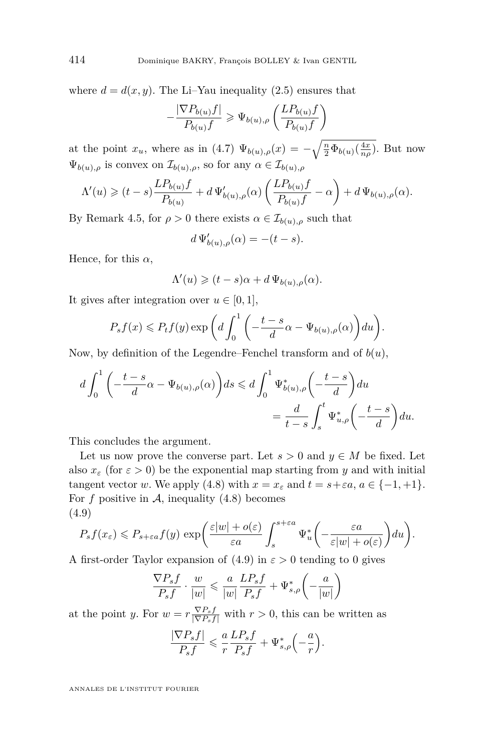where  $d = d(x, y)$ . The Li–Yau inequality [\(2.5\)](#page-6-2) ensures that

$$
-\frac{|\nabla P_{b(u)}f|}{P_{b(u)}f}\geqslant \Psi_{b(u),\rho}\left(\frac{LP_{b(u)}f}{P_{b(u)}f}\right)
$$

at the point  $x_u$ , where as in [\(4.7\)](#page-15-0)  $\Psi_{b(u),\rho}(x) = -\sqrt{\frac{n}{2} \Phi_{b(u)}(\frac{4x}{n\rho})}$ . But now  $\Psi_{b(u),\rho}$  is convex on  $\mathcal{I}_{b(u),\rho}$ , so for any  $\alpha \in \mathcal{I}_{b(u),\rho}$ 

$$
\Lambda'(u) \geq (t-s)\frac{LP_{b(u)}f}{P_{b(u)}} + d\Psi'_{b(u),\rho}(\alpha)\left(\frac{LP_{b(u)}f}{P_{b(u)}f} - \alpha\right) + d\Psi_{b(u),\rho}(\alpha).
$$

By Remark [4.5,](#page-15-1) for  $\rho > 0$  there exists  $\alpha \in \mathcal{I}_{b(u),\rho}$  such that

$$
d\,\Psi'_{b(u),\rho}(\alpha)=-(t-s).
$$

Hence, for this *α*,

$$
\Lambda'(u) \geqslant (t-s)\alpha + d \, \Psi_{b(u),\rho}(\alpha).
$$

It gives after integration over  $u \in [0, 1]$ ,

$$
P_s f(x) \leqslant P_t f(y) \exp\bigg(d \int_0^1 \bigg(-\frac{t-s}{d} \alpha - \Psi_{b(u),\rho}(\alpha)\bigg) du\bigg).
$$

Now, by definition of the Legendre–Fenchel transform and of  $b(u)$ ,

$$
d\int_0^1 \left(-\frac{t-s}{d}\alpha - \Psi_{b(u),\rho}(\alpha)\right)ds \le d\int_0^1 \Psi^*_{b(u),\rho}\left(-\frac{t-s}{d}\right)du
$$
  
= 
$$
\frac{d}{t-s}\int_s^t \Psi^*_{u,\rho}\left(-\frac{t-s}{d}\right)du.
$$

This concludes the argument.

Let us now prove the converse part. Let  $s > 0$  and  $y \in M$  be fixed. Let also  $x_{\varepsilon}$  (for  $\varepsilon > 0$ ) be the exponential map starting from *y* and with initial tangent vector *w*. We apply [\(4.8\)](#page-17-1) with  $x = x_{\varepsilon}$  and  $t = s + \varepsilon a, a \in \{-1, +1\}.$ For  $f$  positive in  $A$ , inequality  $(4.8)$  becomes (4.9)

<span id="page-18-0"></span>
$$
P_s f(x_\varepsilon) \leqslant P_{s+\varepsilon a} f(y) \, \exp\bigg(\frac{\varepsilon |w| + o(\varepsilon)}{\varepsilon a} \int_s^{s+\varepsilon a} \Psi_u^* \bigg(-\frac{\varepsilon a}{\varepsilon |w| + o(\varepsilon)}\bigg) du\bigg).
$$

A first-order Taylor expansion of  $(4.9)$  in  $\varepsilon > 0$  tending to 0 gives

$$
\frac{\nabla P_s f}{P_s f} \cdot \frac{w}{|w|} \leqslant \frac{a}{|w|} \frac{LP_s f}{P_s f} + \Psi_{s,\rho}^* \left( -\frac{a}{|w|} \right)
$$

at the point *y*. For  $w = r \frac{\nabla P_s f}{|\nabla P_s f|}$  with  $r > 0$ , this can be written as

$$
\frac{|\nabla P_s f|}{P_s f} \leqslant \frac{a}{r} \frac{L P_s f}{P_s f} + \Psi^*_{s,\rho} \left(-\frac{a}{r}\right).
$$

ANNALES DE L'INSTITUT FOURIER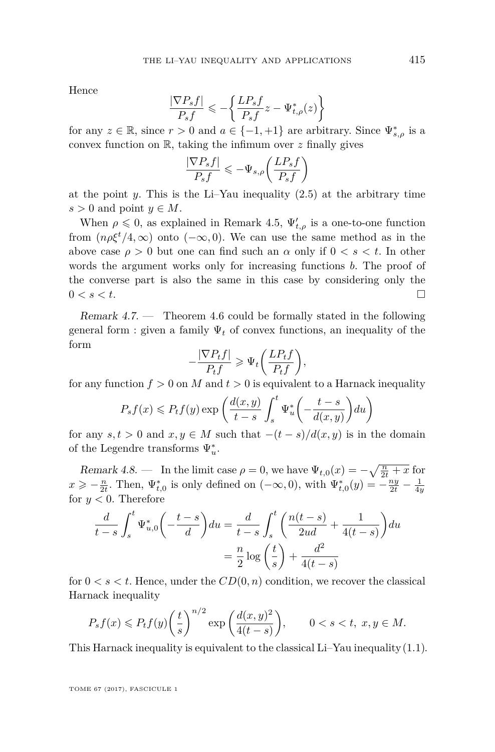Hence

$$
\frac{|\nabla P_s f|}{P_s f} \leqslant -\left\{ \frac{L P_s f}{P_s f} z - \Psi_{t,\rho}^*(z) \right\}
$$

for any  $z \in \mathbb{R}$ , since  $r > 0$  and  $a \in \{-1, +1\}$  are arbitrary. Since  $\Psi^*_{s,\rho}$  is a convex function on R, taking the infimum over *z* finally gives

$$
\frac{|\nabla P_s f|}{P_s f} \leqslant -\Psi_{s,\rho}\bigg(\frac{L P_s f}{P_s f}\bigg)
$$

at the point  $y$ . This is the Li–Yau inequality  $(2.5)$  at the arbitrary time  $s > 0$  and point  $y \in M$ .

When  $\rho \leq 0$ , as explained in Remark [4.5,](#page-15-1)  $\Psi'_{t,\rho}$  is a one-to-one function from  $(n\rho\xi^t/4,\infty)$  onto  $(-\infty,0)$ . We can use the same method as in the above case  $\rho > 0$  but one can find such an  $\alpha$  only if  $0 < s < t$ . In other words the argument works only for increasing functions *b*. The proof of the converse part is also the same in this case by considering only the  $0 < s < t$ .

Remark  $4.7.$  — Theorem  $4.6$  could be formally stated in the following general form : given a family  $\Psi_t$  of convex functions, an inequality of the form

$$
-\frac{|\nabla P_t f|}{P_t f} \ge \Psi_t \bigg(\frac{L P_t f}{P_t f}\bigg),\,
$$

for any function  $f > 0$  on M and  $t > 0$  is equivalent to a Harnack inequality

$$
P_s f(x) \leq P_t f(y) \exp\left(\frac{d(x,y)}{t-s} \int_s^t \Psi_u^* \left(-\frac{t-s}{d(x,y)}\right) du\right)
$$

for any  $s, t > 0$  and  $x, y \in M$  such that  $-(t - s)/d(x, y)$  is in the domain of the Legendre transforms  $\Psi_u^*$ .

Remark 4.8. — In the limit case  $\rho = 0$ , we have  $\Psi_{t,0}(x) = -\sqrt{\frac{n}{2t} + x}$  for  $x \geq -\frac{n}{2t}$ . Then,  $\Psi_{t,0}^*$  is only defined on  $(-\infty,0)$ , with  $\Psi_{t,0}^*(y) = -\frac{ny}{2t} - \frac{1}{4y}$ for  $y < 0$ . Therefore

$$
\frac{d}{t-s} \int_s^t \Psi_{u,0}^* \left( -\frac{t-s}{d} \right) du = \frac{d}{t-s} \int_s^t \left( \frac{n(t-s)}{2ud} + \frac{1}{4(t-s)} \right) du
$$

$$
= \frac{n}{2} \log \left( \frac{t}{s} \right) + \frac{d^2}{4(t-s)}
$$

for  $0 < s < t$ . Hence, under the  $CD(0, n)$  condition, we recover the classical Harnack inequality

$$
P_s f(x) \le P_t f(y) \left(\frac{t}{s}\right)^{n/2} \exp\left(\frac{d(x,y)^2}{4(t-s)}\right), \qquad 0 < s < t, \ x, y \in M.
$$

This Harnack inequality is equivalent to the classical Li–Yau inequality [\(1.1\)](#page-1-0).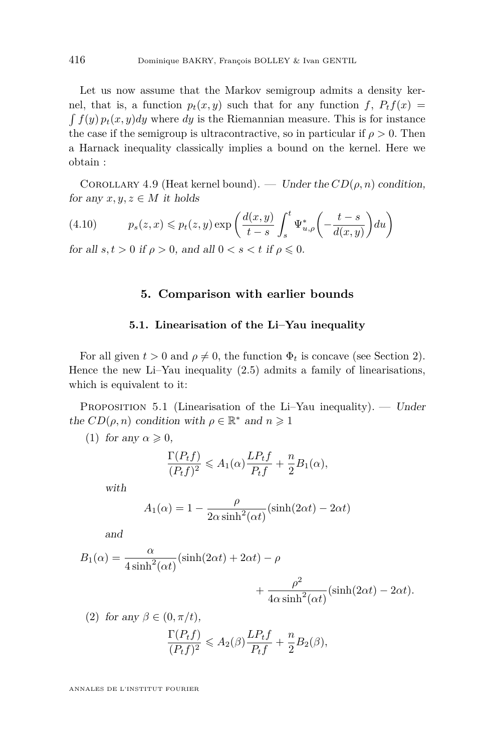Let us now assume that the Markov semigroup admits a density kernel, that is, a function  $p_t(x, y)$  such that for any function  $f$ ,  $P_t f(x) =$  $\int f(y) p_t(x, y) dy$  where *dy* is the Riemannian measure. This is for instance the case if the semigroup is ultracontractive, so in particular if  $\rho > 0$ . Then a Harnack inequality classically implies a bound on the kernel. Here we obtain :

COROLLARY 4.9 (Heat kernel bound). — Under the  $CD(\rho, n)$  condition, for any  $x, y, z \in M$  it holds

(4.10) 
$$
p_s(z,x) \leq p_t(z,y) \exp\left(\frac{d(x,y)}{t-s} \int_s^t \Psi^*_{u,\rho}\left(-\frac{t-s}{d(x,y)}\right) du\right)
$$

<span id="page-20-0"></span>for all  $s, t > 0$  if  $\rho > 0$ , and all  $0 < s < t$  if  $\rho \leq 0$ .

## **5. Comparison with earlier bounds**

#### **5.1. Linearisation of the Li–Yau inequality**

For all given  $t > 0$  and  $\rho \neq 0$ , the function  $\Phi_t$  is concave (see Section [2\)](#page-4-1). Hence the new Li–Yau inequality [\(2.5\)](#page-6-2) admits a family of linearisations, which is equivalent to it:

<span id="page-20-3"></span>PROPOSITION 5.1 (Linearisation of the Li–Yau inequality). — Under the  $CD(\rho, n)$  condition with  $\rho \in \mathbb{R}^*$  and  $n \geq 1$ 

<span id="page-20-1"></span>(1) for any  $\alpha \geqslant 0$ ,

$$
\frac{\Gamma(P_t f)}{(P_t f)^2} \leqslant A_1(\alpha) \frac{LP_t f}{P_t f} + \frac{n}{2} B_1(\alpha),
$$

with

$$
A_1(\alpha) = 1 - \frac{\rho}{2\alpha \sinh^2(\alpha t)} (\sinh(2\alpha t) - 2\alpha t)
$$

and

<span id="page-20-2"></span> $(2)$  for any  $\beta$ 

$$
B_1(\alpha) = \frac{\alpha}{4\sinh^2(\alpha t)} (\sinh(2\alpha t) + 2\alpha t) - \rho
$$
  
+ 
$$
\frac{\rho^2}{4\sinh^2(\alpha t)} (\sinh(2\alpha t) - 2\alpha t).
$$

$$
4\alpha \sinh^2(\alpha t) \stackrel{\text{(shm)}(2\alpha t)}{=} 2\alpha
$$
  

$$
\Gamma(P, t) \qquad L.P. t \qquad n
$$

$$
\frac{\Gamma(P_t f)}{(P_t f)^2} \leqslant A_2(\beta) \frac{LP_t f}{P_t f} + \frac{n}{2} B_2(\beta),
$$

ANNALES DE L'INSTITUT FOURIER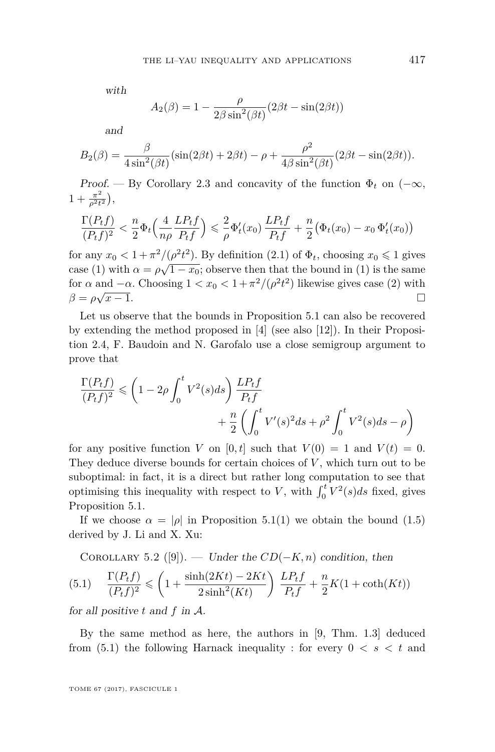with

$$
A_2(\beta) = 1 - \frac{\rho}{2\beta \sin^2(\beta t)} (2\beta t - \sin(2\beta t))
$$

and

$$
B_2(\beta) = \frac{\beta}{4\sin^2(\beta t)} (\sin(2\beta t) + 2\beta t) - \rho + \frac{\rho^2}{4\beta \sin^2(\beta t)} (2\beta t - \sin(2\beta t)).
$$

Proof. — By Corollary [2.3](#page-6-5) and concavity of the function  $\Phi_t$  on  $(-\infty,$  $1 + \frac{\pi^2}{a^2 t}$  $\frac{\pi^2}{\rho^2 t^2}\Big),$ 

$$
\frac{\Gamma(P_t f)}{(P_t f)^2} < \frac{n}{2} \Phi_t \left( \frac{4}{n\rho} \frac{L P_t f}{P_t f} \right) \leq \frac{2}{\rho} \Phi'_t(x_0) \frac{L P_t f}{P_t f} + \frac{n}{2} \left( \Phi_t(x_0) - x_0 \Phi'_t(x_0) \right)
$$

for any  $x_0 < 1 + \frac{\pi^2}{\rho^2 t^2}$ . By definition [\(2.1\)](#page-5-1) of  $\Phi_t$ , choosing  $x_0 \leq 1$  gives case [\(1\)](#page-20-1) with  $\alpha = \rho \sqrt{1-x_0}$ ; observe then that the bound in (1) is the same for  $\alpha$  and  $-\alpha$ . Choosing  $1 < x_0 < 1 + \pi^2/(\rho^2 t^2)$  likewise gives case [\(2\)](#page-20-2) with  $\beta = \rho \sqrt{x-1}.$  $\overline{x-1}$ .

Let us observe that the bounds in Proposition [5.1](#page-20-3) can also be recovered by extending the method proposed in [\[4\]](#page-24-2) (see also [\[12\]](#page-25-6)). In their Proposition 2.4, F. Baudoin and N. Garofalo use a close semigroup argument to prove that

$$
\frac{\Gamma(P_t f)}{(P_t f)^2} \leq \left(1 - 2\rho \int_0^t V^2(s)ds\right) \frac{LP_t f}{P_t f} + \frac{n}{2} \left(\int_0^t V'(s)^2 ds + \rho^2 \int_0^t V^2(s)ds - \rho\right)
$$

for any positive function *V* on [0, t] such that  $V(0) = 1$  and  $V(t) = 0$ . They deduce diverse bounds for certain choices of *V* , which turn out to be suboptimal: in fact, it is a direct but rather long computation to see that optimising this inequality with respect to *V*, with  $\int_0^t V^2(s)ds$  fixed, gives Proposition [5.1.](#page-20-3)

If we choose  $\alpha = |\rho|$  in Proposition [5.1\(](#page-20-3)[1\)](#page-20-1) we obtain the bound [\(1.5\)](#page-2-1) derived by J. Li and X. Xu:

<span id="page-21-0"></span>COROLLARY 5.2 ([\[9\]](#page-25-3)). — Under the  $CD(-K, n)$  condition, then

$$
(5.1) \quad \frac{\Gamma(P_t f)}{(P_t f)^2} \leqslant \left(1 + \frac{\sinh(2Kt) - 2Kt}{2\sinh^2(Kt)}\right) \frac{LP_t f}{P_t f} + \frac{n}{2} K(1 + \coth(Kt))
$$

for all positive *t* and *f* in A.

By the same method as here, the authors in [\[9,](#page-25-3) Thm. 1.3] deduced from  $(5.1)$  the following Harnack inequality : for every  $0 < s < t$  and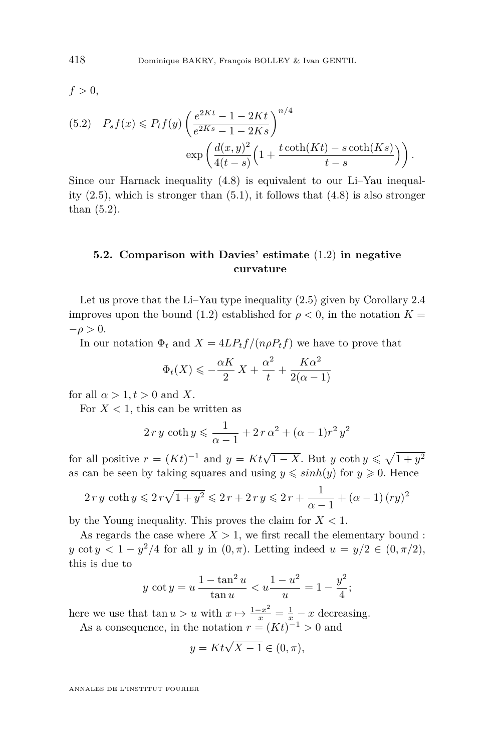$f > 0$ ,

<span id="page-22-0"></span>
$$
(5.2) \quad P_s f(x) \le P_t f(y) \left( \frac{e^{2Kt} - 1 - 2Kt}{e^{2Ks} - 1 - 2Ks} \right)^{n/4}
$$

$$
\exp\left( \frac{d(x, y)^2}{4(t - s)} \left( 1 + \frac{t \coth(Kt) - s \coth(Ks)}{t - s} \right) \right).
$$

Since our Harnack inequality [\(4.8\)](#page-17-1) is equivalent to our Li–Yau inequality  $(2.5)$ , which is stronger than  $(5.1)$ , it follows that  $(4.8)$  is also stronger than [\(5.2\)](#page-22-0).

# **5.2. Comparison with Davies' estimate** [\(1.2\)](#page-2-0) **in negative curvature**

Let us prove that the Li–Yau type inequality [\(2.5\)](#page-6-2) given by Corollary [2.4](#page-6-0) improves upon the bound [\(1.2\)](#page-2-0) established for  $\rho < 0$ , in the notation  $K =$  $-\rho > 0$ .

In our notation  $\Phi_t$  and  $X = 4LP_tf/(n\rho P_tf)$  we have to prove that

$$
\Phi_t(X) \leqslant -\frac{\alpha K}{2} X + \frac{\alpha^2}{t} + \frac{K\alpha^2}{2(\alpha - 1)}
$$

for all  $\alpha > 1, t > 0$  and X.

For  $X < 1$ , this can be written as

$$
2 r y \coth y \leq \frac{1}{\alpha - 1} + 2 r \alpha^{2} + (\alpha - 1) r^{2} y^{2}
$$

for all positive  $r = (Kt)^{-1}$  and  $y = Kt\sqrt{1 - X}$ . But  $y \coth y \le \sqrt{1 + y^2}$ as can be seen by taking squares and using  $y \leq \sinh(y)$  for  $y \geq 0$ . Hence

$$
2 r y \coth y \leqslant 2 r \sqrt{1 + y^2} \leqslant 2 r + 2 r y \leqslant 2 r + \frac{1}{\alpha - 1} + (\alpha - 1) (r y)^2
$$

by the Young inequality. This proves the claim for *X <* 1.

As regards the case where  $X > 1$ , we first recall the elementary bound : *y* cot  $y < 1 - y^2/4$  for all *y* in  $(0, \pi)$ . Letting indeed  $u = y/2 \in (0, \pi/2)$ , this is due to

$$
y \cot y = u \frac{1 - \tan^2 u}{\tan u} < u \frac{1 - u^2}{u} = 1 - \frac{y^2}{4};
$$

here we use that  $\tan u > u$  with  $x \mapsto \frac{1-x^2}{x} = \frac{1}{x} - x$  decreasing. As a consequence, in the notation  $r = (Kt)^{-1} > 0$  and

$$
y = Kt\sqrt{X - 1} \in (0, \pi),
$$

ANNALES DE L'INSTITUT FOURIER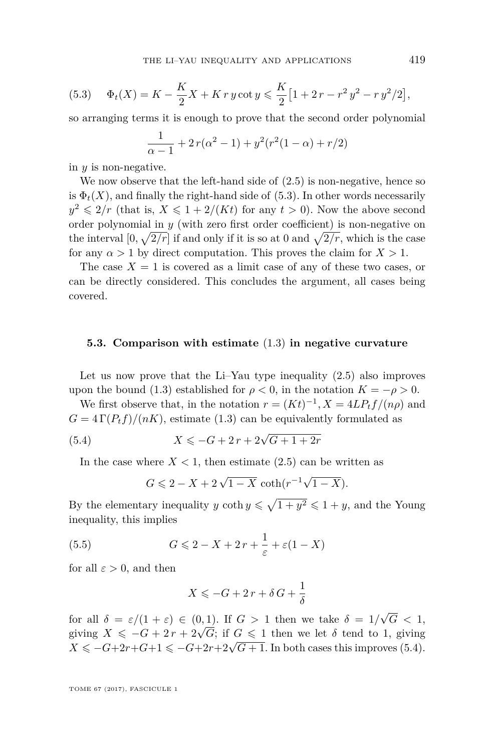<span id="page-23-0"></span>(5.3) 
$$
\Phi_t(X) = K - \frac{K}{2}X + K \, r \, y \cot y \leqslant \frac{K}{2} \left[ 1 + 2 \, r - r^2 \, y^2 - r \, y^2 / 2 \right],
$$

so arranging terms it is enough to prove that the second order polynomial

$$
\frac{1}{\alpha - 1} + 2r(\alpha^2 - 1) + y^2(r^2(1 - \alpha) + r/2)
$$

in *y* is non-negative.

We now observe that the left-hand side of  $(2.5)$  is non-negative, hence so is  $\Phi_t(X)$ , and finally the right-hand side of [\(5.3\)](#page-23-0). In other words necessarily  $y^2 \leq 2/r$  (that is,  $X \leq 1 + 2/(Kt)$  for any  $t > 0$ ). Now the above second order polynomial in  $y$  (with zero first order coefficient) is non-negative on the interval  $[0, \sqrt{2/r}]$  if and only if it is so at 0 and  $\sqrt{2/r}$ , which is the case for any  $\alpha > 1$  by direct computation. This proves the claim for  $X > 1$ .

The case  $X = 1$  is covered as a limit case of any of these two cases, or can be directly considered. This concludes the argument, all cases being covered.

### **5.3. Comparison with estimate** [\(1.3\)](#page-2-2) **in negative curvature**

Let us now prove that the Li–Yau type inequality [\(2.5\)](#page-6-2) also improves upon the bound [\(1.3\)](#page-2-2) established for  $\rho < 0$ , in the notation  $K = -\rho > 0$ .

We first observe that, in the notation  $r = (Kt)^{-1}$ ,  $X = 4LP_tf/({n\rho})$  and  $G = 4 \Gamma(P_t f)/(nK)$ , estimate [\(1.3\)](#page-2-2) can be equivalently formulated as

(5.4) 
$$
X \leqslant -G + 2r + 2\sqrt{G + 1 + 2r}
$$

In the case where  $X < 1$ , then estimate  $(2.5)$  can be written as

<span id="page-23-1"></span>
$$
G \leq 2 - X + 2\sqrt{1 - X} \coth(r^{-1}\sqrt{1 - X}).
$$

By the elementary inequality *y* coth  $y \le \sqrt{1 + y^2} \le 1 + y$ , and the Young inequality, this implies

(5.5) 
$$
G \leqslant 2 - X + 2r + \frac{1}{\varepsilon} + \varepsilon(1 - X)
$$

for all  $\varepsilon > 0$ , and then

<span id="page-23-2"></span>
$$
X \leqslant -G + 2\,r + \delta\,G + \frac{1}{\delta}
$$

for all  $\delta = \varepsilon/(1+\varepsilon) \in (0,1)$ . If  $G > 1$  then we take  $\delta = 1/$ √  $G \, < \, 1,$ for an  $\sigma = \varepsilon/(1 + \varepsilon) \in (0, 1)$ . If  $G > 1$  then we take  $\sigma = 1/\sqrt{G} \cdot 1$ ,<br>giving  $X \leq -G + 2r + 2\sqrt{G}$ ; if  $G \leq 1$  then we let  $\delta$  tend to 1, giving giving  $X \leq -G + 2r + 2\sqrt{G}$ , if  $G \leq 1$  then we let  $\theta$  tend to 1, giving  $X \leq -G + 2r + G + 1 \leq -G + 2r + 2\sqrt{G} + 1$ . In both cases this improves [\(5.4\)](#page-23-1).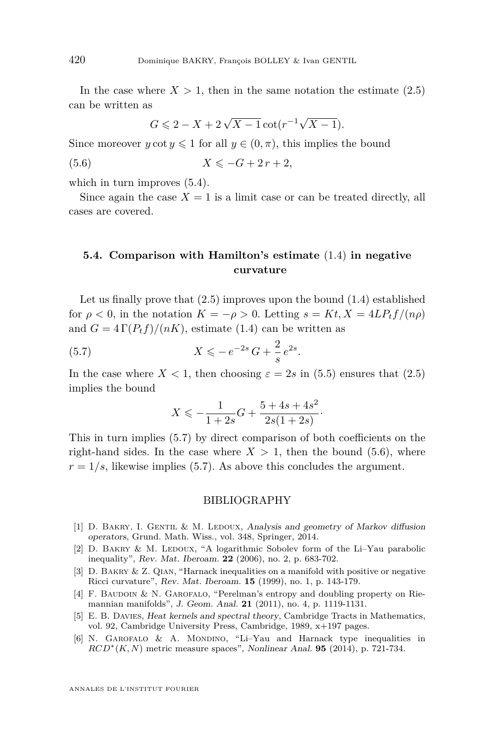In the case where  $X > 1$ , then in the same notation the estimate  $(2.5)$ can be written as

<span id="page-24-7"></span>
$$
G \leqslant 2 - X + 2\sqrt{X - 1} \cot(r^{-1}\sqrt{X - 1}).
$$

Since moreover  $y \cot y \leq 1$  for all  $y \in (0, \pi)$ , this implies the bound

$$
(5.6) \t\t X \leqslant -G + 2r + 2,
$$

which in turn improves  $(5.4)$ .

Since again the case  $X = 1$  is a limit case or can be treated directly, all cases are covered.

# **5.4. Comparison with Hamilton's estimate** [\(1.4\)](#page-2-3) **in negative curvature**

Let us finally prove that  $(2.5)$  improves upon the bound  $(1.4)$  established for  $\rho < 0$ , in the notation  $K = -\rho > 0$ . Letting  $s = Kt, X = 4LP_tf/(n\rho)$ and  $G = 4 \Gamma(P_t f)/(nK)$ , estimate [\(1.4\)](#page-2-3) can be written as

(5.7) 
$$
X \leqslant -e^{-2s}G + \frac{2}{s}e^{2s}.
$$

In the case where  $X < 1$ , then choosing  $\varepsilon = 2s$  in [\(5.5\)](#page-23-2) ensures that [\(2.5\)](#page-6-2) implies the bound

<span id="page-24-6"></span>
$$
X \leqslant -\frac{1}{1+2s}G + \frac{5+4s+4s^2}{2s(1+2s)}.
$$

This in turn implies [\(5.7\)](#page-24-6) by direct comparison of both coefficients on the right-hand sides. In the case where  $X > 1$ , then the bound [\(5.6\)](#page-24-7), where  $r = 1/s$ , likewise implies [\(5.7\)](#page-24-6). As above this concludes the argument.

### BIBLIOGRAPHY

- <span id="page-24-5"></span>[1] D. BAKRY, I. GENTIL & M. LEDOUX, Analysis and geometry of Markov diffusion operators, Grund. Math. Wiss., vol. 348, Springer, 2014.
- <span id="page-24-4"></span>[2] D. BAKRY & M. LEDOUX, "A logarithmic Sobolev form of the Li–Yau parabolic inequality", Rev. Mat. Iberoam. **22** (2006), no. 2, p. 683-702.
- <span id="page-24-1"></span>[3] D. Bakry & Z. Qian, "Harnack inequalities on a manifold with positive or negative Ricci curvature", Rev. Mat. Iberoam. **15** (1999), no. 1, p. 143-179.
- <span id="page-24-2"></span>[4] F. Baudoin & N. Garofalo, "Perelman's entropy and doubling property on Riemannian manifolds", J. Geom. Anal. **21** (2011), no. 4, p. 1119-1131.
- <span id="page-24-0"></span>[5] E. B. Davies, Heat kernels and spectral theory, Cambridge Tracts in Mathematics, vol. 92, Cambridge University Press, Cambridge, 1989, x+197 pages.
- <span id="page-24-3"></span>[6] N. Garofalo & A. Mondino, "Li–Yau and Harnack type inequalities in  $RCD^*(K, N)$  metric measure spaces", Nonlinear Anal. **95** (2014), p. 721-734.